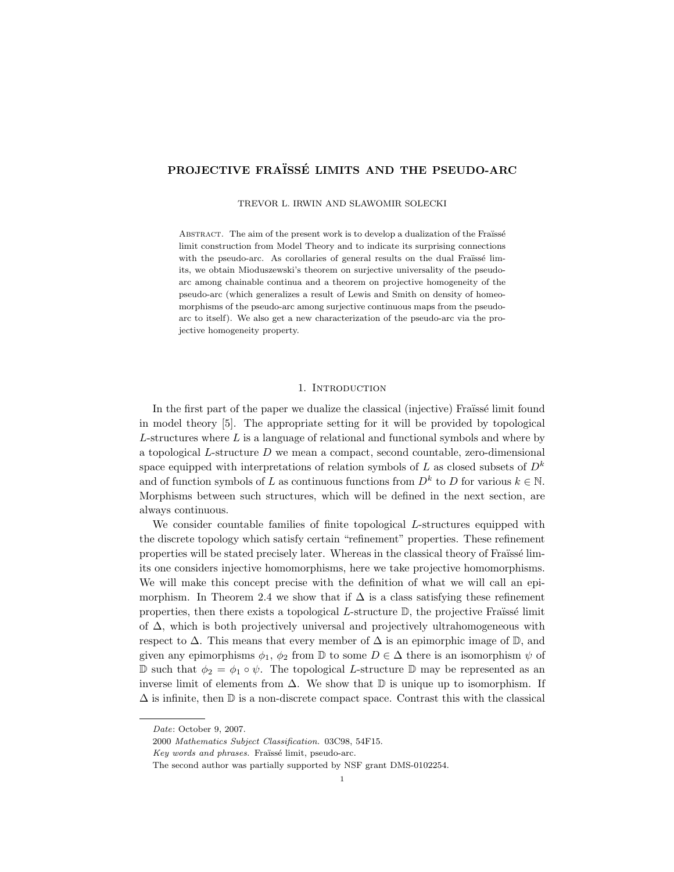# PROJECTIVE FRAÏSSÉ LIMITS AND THE PSEUDO-ARC

TREVOR L. IRWIN AND SŁAWOMIR SOLECKI

ABSTRACT. The aim of the present work is to develop a dualization of the Fraïssé limit construction from Model Theory and to indicate its surprising connections with the pseudo-arc. As corollaries of general results on the dual Fraüssé limits, we obtain Mioduszewski's theorem on surjective universality of the pseudoarc among chainable continua and a theorem on projective homogeneity of the pseudo-arc (which generalizes a result of Lewis and Smith on density of homeomorphisms of the pseudo-arc among surjective continuous maps from the pseudoarc to itself). We also get a new characterization of the pseudo-arc via the projective homogeneity property.

### 1. Introduction

In the first part of the paper we dualize the classical (injective) Fraïssé limit found in model theory [5]. The appropriate setting for it will be provided by topological  $L$ -structures where  $L$  is a language of relational and functional symbols and where by a topological L-structure D we mean a compact, second countable, zero-dimensional space equipped with interpretations of relation symbols of L as closed subsets of  $D^k$ and of function symbols of L as continuous functions from  $D^k$  to D for various  $k \in \mathbb{N}$ . Morphisms between such structures, which will be defined in the next section, are always continuous.

We consider countable families of finite topological L-structures equipped with the discrete topology which satisfy certain "refinement" properties. These refinement properties will be stated precisely later. Whereas in the classical theory of Fraüssé limits one considers injective homomorphisms, here we take projective homomorphisms. We will make this concept precise with the definition of what we will call an epimorphism. In Theorem 2.4 we show that if  $\Delta$  is a class satisfying these refinement properties, then there exists a topological  $L$ -structure  $\mathbb{D}$ , the projective Fraüssé limit of  $\Delta$ , which is both projectively universal and projectively ultrahomogeneous with respect to  $\Delta$ . This means that every member of  $\Delta$  is an epimorphic image of  $\mathbb{D}$ , and given any epimorphisms  $\phi_1$ ,  $\phi_2$  from D to some  $D \in \Delta$  there is an isomorphism  $\psi$  of D such that  $\phi_2 = \phi_1 \circ \psi$ . The topological L-structure D may be represented as an inverse limit of elements from  $\Delta$ . We show that  $\mathbb D$  is unique up to isomorphism. If  $\Delta$  is infinite, then  $\mathbb D$  is a non-discrete compact space. Contrast this with the classical

Date: October 9, 2007.

<sup>2000</sup> Mathematics Subject Classification. 03C98, 54F15.

Key words and phrases. Fraïssé limit, pseudo-arc.

The second author was partially supported by NSF grant DMS-0102254.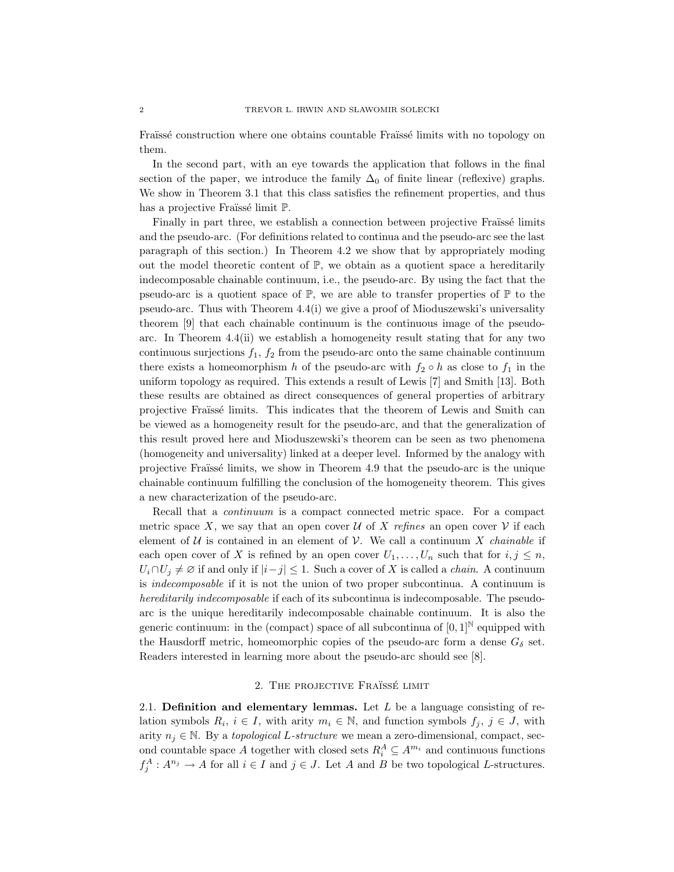Fraïssé construction where one obtains countable Fraïssé limits with no topology on them.

In the second part, with an eye towards the application that follows in the final section of the paper, we introduce the family  $\Delta_0$  of finite linear (reflexive) graphs. We show in Theorem 3.1 that this class satisfies the refinement properties, and thus has a projective Fraüssé limit  $\mathbb{P}$ .

Finally in part three, we establish a connection between projective Fraïssé limits and the pseudo-arc. (For definitions related to continua and the pseudo-arc see the last paragraph of this section.) In Theorem 4.2 we show that by appropriately moding out the model theoretic content of  $\mathbb{P}$ , we obtain as a quotient space a hereditarily indecomposable chainable continuum, i.e., the pseudo-arc. By using the fact that the pseudo-arc is a quotient space of  $\mathbb{P}$ , we are able to transfer properties of  $\mathbb{P}$  to the pseudo-arc. Thus with Theorem 4.4(i) we give a proof of Mioduszewski's universality theorem [9] that each chainable continuum is the continuous image of the pseudoarc. In Theorem  $4.4(ii)$  we establish a homogeneity result stating that for any two continuous surjections  $f_1$ ,  $f_2$  from the pseudo-arc onto the same chainable continuum there exists a homeomorphism h of the pseudo-arc with  $f_2 \circ h$  as close to  $f_1$  in the uniform topology as required. This extends a result of Lewis [7] and Smith [13]. Both these results are obtained as direct consequences of general properties of arbitrary projective Fraüssé limits. This indicates that the theorem of Lewis and Smith can be viewed as a homogeneity result for the pseudo-arc, and that the generalization of this result proved here and Mioduszewski's theorem can be seen as two phenomena (homogeneity and universality) linked at a deeper level. Informed by the analogy with projective Fraïssé limits, we show in Theorem 4.9 that the pseudo-arc is the unique chainable continuum fulfilling the conclusion of the homogeneity theorem. This gives a new characterization of the pseudo-arc.

Recall that a *continuum* is a compact connected metric space. For a compact metric space X, we say that an open cover U of X refines an open cover V if each element of  $U$  is contained in an element of  $V$ . We call a continuum X *chainable* if each open cover of X is refined by an open cover  $U_1, \ldots, U_n$  such that for  $i, j \leq n$ ,  $U_i \cap U_j \neq \emptyset$  if and only if  $|i-j| \leq 1$ . Such a cover of X is called a *chain*. A continuum is indecomposable if it is not the union of two proper subcontinua. A continuum is hereditarily indecomposable if each of its subcontinua is indecomposable. The pseudoarc is the unique hereditarily indecomposable chainable continuum. It is also the generic continuum: in the (compact) space of all subcontinua of  $[0,1]^{\mathbb{N}}$  equipped with the Hausdorff metric, homeomorphic copies of the pseudo-arc form a dense  $G_{\delta}$  set. Readers interested in learning more about the pseudo-arc should see [8].

## 2. THE PROJECTIVE FRAÏSSÉ LIMIT

2.1. Definition and elementary lemmas. Let  $L$  be a language consisting of relation symbols  $R_i$ ,  $i \in I$ , with arity  $m_i \in \mathbb{N}$ , and function symbols  $f_j$ ,  $j \in J$ , with arity  $n_i \in \mathbb{N}$ . By a topological L-structure we mean a zero-dimensional, compact, second countable space A together with closed sets  $R_i^A \subseteq A^{m_i}$  and continuous functions  $f_j^A: A^{n_j} \to A$  for all  $i \in I$  and  $j \in J$ . Let A and B be two topological L-structures.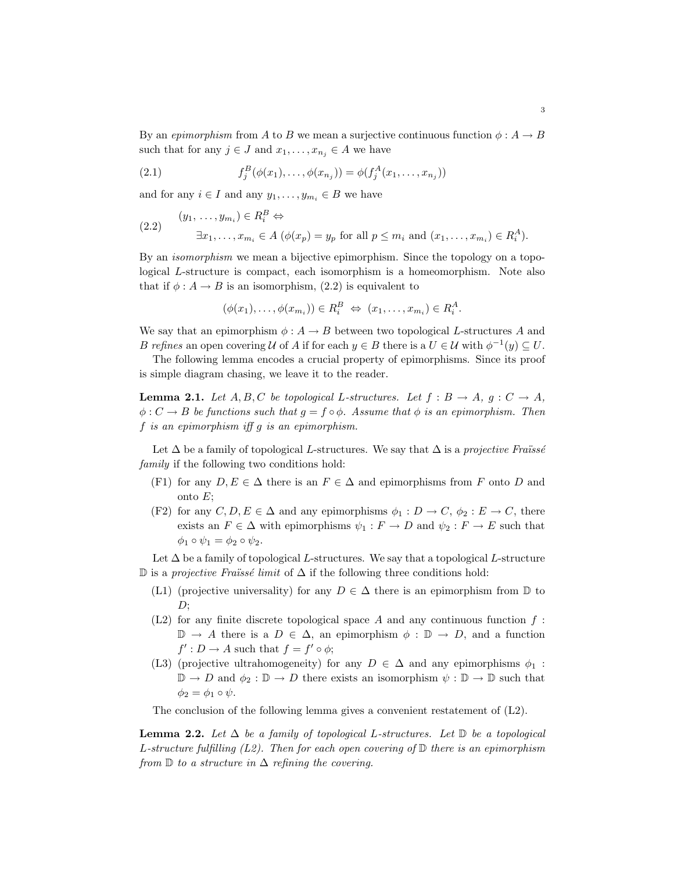By an epimorphism from A to B we mean a surjective continuous function  $\phi: A \to B$ such that for any  $j \in J$  and  $x_1, \ldots, x_{n_j} \in A$  we have

(2.1) 
$$
f_j^B(\phi(x_1),..., \phi(x_{n_j})) = \phi(f_j^A(x_1,...,x_{n_j}))
$$

and for any  $i \in I$  and any  $y_1, \ldots, y_{m_i} \in B$  we have

(2.2) 
$$
(y_1, \ldots, y_{m_i}) \in R_i^B \Leftrightarrow
$$

$$
\exists x_1, \ldots, x_{m_i} \in A \ (\phi(x_p) = y_p \text{ for all } p \le m_i \text{ and } (x_1, \ldots, x_{m_i}) \in R_i^A).
$$

By an isomorphism we mean a bijective epimorphism. Since the topology on a topological L-structure is compact, each isomorphism is a homeomorphism. Note also that if  $\phi: A \to B$  is an isomorphism, (2.2) is equivalent to

$$
(\phi(x_1), \ldots, \phi(x_{m_i})) \in R_i^B \iff (x_1, \ldots, x_{m_i}) \in R_i^A.
$$

We say that an epimorphism  $\phi: A \to B$  between two topological L-structures A and B refines an open covering U of A if for each  $y \in B$  there is a  $U \in U$  with  $\phi^{-1}(y) \subseteq U$ .

The following lemma encodes a crucial property of epimorphisms. Since its proof is simple diagram chasing, we leave it to the reader.

**Lemma 2.1.** Let  $A, B, C$  be topological L-structures. Let  $f : B \to A$ ,  $g : C \to A$ ,  $\phi: C \to B$  be functions such that  $g = f \circ \phi$ . Assume that  $\phi$  is an epimorphism. Then f is an epimorphism iff g is an epimorphism.

Let  $\Delta$  be a family of topological L-structures. We say that  $\Delta$  is a projective Fraüsse family if the following two conditions hold:

- (F1) for any  $D, E \in \Delta$  there is an  $F \in \Delta$  and epimorphisms from F onto D and onto  $E$ ;
- (F2) for any  $C, D, E \in \Delta$  and any epimorphisms  $\phi_1 : D \to C, \phi_2 : E \to C$ , there exists an  $F \in \Delta$  with epimorphisms  $\psi_1 : F \to D$  and  $\psi_2 : F \to E$  such that  $\phi_1 \circ \psi_1 = \phi_2 \circ \psi_2.$

Let  $\Delta$  be a family of topological L-structures. We say that a topological L-structure D is a *projective Fraïssé limit* of  $\Delta$  if the following three conditions hold:

- (L1) (projective universality) for any  $D \in \Delta$  there is an epimorphism from  $\mathbb D$  to  $D$ :
- (L2) for any finite discrete topological space A and any continuous function  $f$ :  $\mathbb{D} \to A$  there is a  $D \in \Delta$ , an epimorphism  $\phi : \mathbb{D} \to D$ , and a function  $f' : D \to A$  such that  $f = f' \circ \phi$ ;
- (L3) (projective ultrahomogeneity) for any  $D \in \Delta$  and any epimorphisms  $\phi_1$ :  $\mathbb{D} \to D$  and  $\phi_2 : \mathbb{D} \to D$  there exists an isomorphism  $\psi : \mathbb{D} \to \mathbb{D}$  such that  $\phi_2 = \phi_1 \circ \psi$ .

The conclusion of the following lemma gives a convenient restatement of  $(L2)$ .

**Lemma 2.2.** Let  $\Delta$  be a family of topological L-structures. Let  $\mathbb D$  be a topological L-structure fulfilling (L2). Then for each open covering of  $\mathbb D$  there is an epimorphism from  $\mathbb D$  to a structure in  $\Delta$  refining the covering.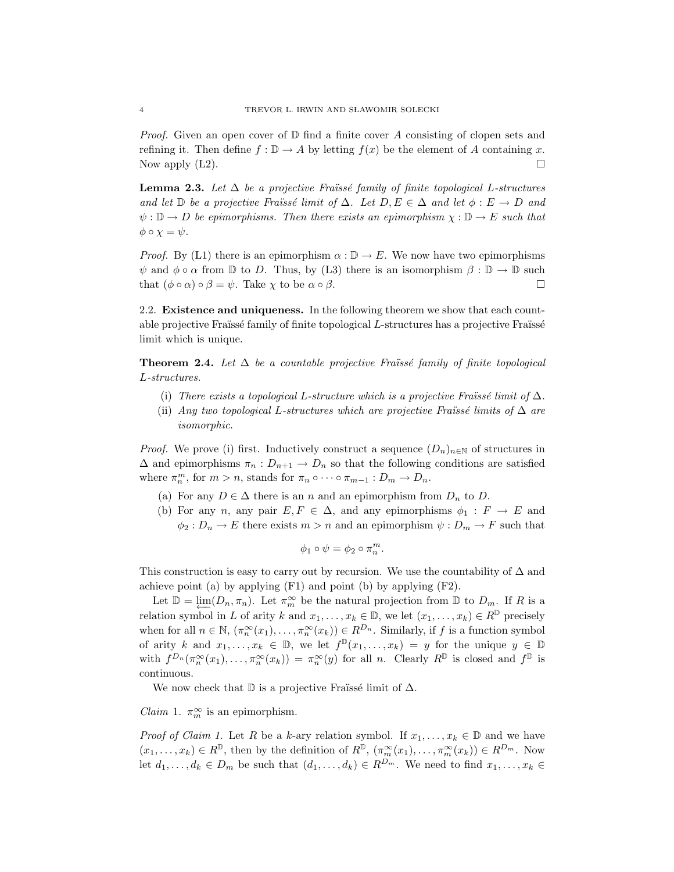*Proof.* Given an open cover of  $\mathbb D$  find a finite cover A consisting of clopen sets and refining it. Then define  $f : \mathbb{D} \to A$  by letting  $f(x)$  be the element of A containing x. Now apply  $(L2)$ .

**Lemma 2.3.** Let  $\Delta$  be a projective Fraüssé family of finite topological L-structures and let  $\mathbb D$  be a projective Fraüssé limit of  $\Delta$ . Let  $D, E \in \Delta$  and let  $\phi : E \to D$  and  $\psi : \mathbb{D} \to D$  be epimorphisms. Then there exists an epimorphism  $\chi : \mathbb{D} \to E$  such that  $\phi \circ \chi = \psi.$ 

*Proof.* By (L1) there is an epimorphism  $\alpha : \mathbb{D} \to E$ . We now have two epimorphisms  $\psi$  and  $\phi \circ \alpha$  from  $\mathbb D$  to D. Thus, by (L3) there is an isomorphism  $\beta : \mathbb D \to \mathbb D$  such that  $(\phi \circ \alpha) \circ \beta = \psi$ . Take  $\chi$  to be  $\alpha \circ \beta$ .

2.2. Existence and uniqueness. In the following theorem we show that each countable projective Fraïssé family of finite topological  $L$ -structures has a projective Fraïssé limit which is unique.

**Theorem 2.4.** Let  $\Delta$  be a countable projective Fraüssé family of finite topological L-structures.

- (i) There exists a topological L-structure which is a projective Fraüssé limit of  $\Delta$ .
- (ii) Any two topological L-structures which are projective Fraüssé limits of  $\Delta$  are isomorphic.

*Proof.* We prove (i) first. Inductively construct a sequence  $(D_n)_{n\in\mathbb{N}}$  of structures in  $\Delta$  and epimorphisms  $\pi_n: D_{n+1} \to D_n$  so that the following conditions are satisfied where  $\pi_n^m$ , for  $m > n$ , stands for  $\pi_n \circ \cdots \circ \pi_{m-1} : D_m \to D_n$ .

- (a) For any  $D \in \Delta$  there is an n and an epimorphism from  $D_n$  to D.
- (b) For any n, any pair  $E, F \in \Delta$ , and any epimorphisms  $\phi_1 : F \to E$  and  $\phi_2: D_n \to E$  there exists  $m > n$  and an epimorphism  $\psi: D_m \to F$  such that

$$
\phi_1 \circ \psi = \phi_2 \circ \pi_n^m.
$$

This construction is easy to carry out by recursion. We use the countability of  $\Delta$  and achieve point (a) by applying (F1) and point (b) by applying (F2).

Let  $\mathbb{D} = \varprojlim(D_n, \pi_n)$ . Let  $\pi_m^{\infty}$  be the natural projection from  $\mathbb{D}$  to  $D_m$ . If R is a relation symbol in L of arity k and  $x_1, \ldots, x_k \in \mathbb{D}$ , we let  $(x_1, \ldots, x_k) \in R^{\mathbb{D}}$  precisely when for all  $n \in \mathbb{N}$ ,  $(\pi_n^{\infty}(x_1), \ldots, \pi_n^{\infty}(x_k)) \in R^{D_n}$ . Similarly, if f is a function symbol of arity k and  $x_1, \ldots, x_k \in \mathbb{D}$ , we let  $f^{\mathbb{D}}(x_1, \ldots, x_k) = y$  for the unique  $y \in \mathbb{D}$ with  $f^{D_n}(\pi^\infty_n(x_1),\ldots,\pi^\infty_n(x_k)) = \pi^\infty_n(y)$  for all n. Clearly  $R^{\mathbb{D}}$  is closed and  $f^{\mathbb{D}}$  is continuous.

We now check that  $\mathbb D$  is a projective Fraüssé limit of  $\Delta$ .

*Claim* 1.  $\pi_m^{\infty}$  is an epimorphism.

*Proof of Claim 1.* Let R be a k-ary relation symbol. If  $x_1, \ldots, x_k \in \mathbb{D}$  and we have  $(x_1,\ldots,x_k)\in R^{\mathbb{D}}$ , then by the definition of  $R^{\mathbb{D}}$ ,  $(\pi_m^{\infty}(x_1),\ldots,\pi_m^{\infty}(x_k))\in R^{D_m}$ . Now let  $d_1, \ldots, d_k \in D_m$  be such that  $(d_1, \ldots, d_k) \in R^{D_m}$ . We need to find  $x_1, \ldots, x_k \in$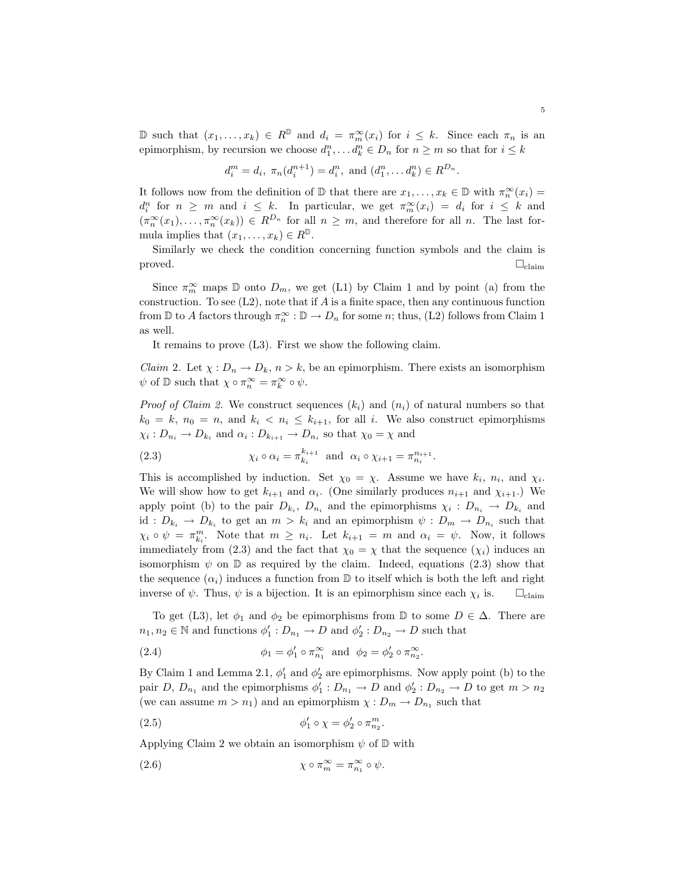D such that  $(x_1, \ldots, x_k) \in R^{\mathbb{D}}$  and  $d_i = \pi_m^{\infty}(x_i)$  for  $i \leq k$ . Since each  $\pi_n$  is an epimorphism, by recursion we choose  $d_1^n, \ldots, d_k^n \in D_n$  for  $n \geq m$  so that for  $i \leq k$ 

$$
d_i^m = d_i
$$
,  $\pi_n(d_i^{n+1}) = d_i^n$ , and  $(d_1^n, \dots, d_k^n) \in R^{D_n}$ .

It follows now from the definition of  $\mathbb D$  that there are  $x_1,\ldots,x_k\in\mathbb D$  with  $\pi^\infty_n(x_i)=$  $d_i^n$  for  $n \geq m$  and  $i \leq k$ . In particular, we get  $\pi_m^{\infty}(x_i) = d_i$  for  $i \leq k$  and  $(\pi_n^{\infty}(x_1), \ldots, \pi_n^{\infty}(x_k)) \in R^{D_n}$  for all  $n \geq m$ , and therefore for all n. The last formula implies that  $(x_1, \ldots, x_k) \in R^{\mathbb{D}}$ .

Similarly we check the condition concerning function symbols and the claim is  $\Box_{\text{claim}}$   $\Box_{\text{claim}}$ 

Since  $\pi_m^{\infty}$  maps  $\mathbb D$  onto  $D_m$ , we get (L1) by Claim 1 and by point (a) from the construction. To see  $(L2)$ , note that if  $A$  is a finite space, then any continuous function from  $\mathbb D$  to A factors through  $\pi_n^{\infty} : \mathbb D \to D_n$  for some n; thus, (L2) follows from Claim 1 as well.

It remains to prove (L3). First we show the following claim.

*Claim 2.* Let  $\chi: D_n \to D_k$ ,  $n > k$ , be an epimorphism. There exists an isomorphism  $\psi$  of  $\mathbb D$  such that  $\chi \circ \pi_n^{\infty} = \pi_k^{\infty} \circ \psi$ .

*Proof of Claim 2.* We construct sequences  $(k_i)$  and  $(n_i)$  of natural numbers so that  $k_0 = k$ ,  $n_0 = n$ , and  $k_i < n_i \leq k_{i+1}$ , for all i. We also construct epimorphisms  $\chi_i: D_{n_i} \to D_{k_i}$  and  $\alpha_i: D_{k_{i+1}} \to D_{n_i}$  so that  $\chi_0 = \chi$  and

(2.3) 
$$
\chi_i \circ \alpha_i = \pi_{k_i}^{k_{i+1}} \text{ and } \alpha_i \circ \chi_{i+1} = \pi_{n_i}^{n_{i+1}}.
$$

This is accomplished by induction. Set  $\chi_0 = \chi$ . Assume we have  $k_i$ ,  $n_i$ , and  $\chi_i$ . We will show how to get  $k_{i+1}$  and  $\alpha_i$ . (One similarly produces  $n_{i+1}$  and  $\chi_{i+1}$ .) We apply point (b) to the pair  $D_{k_i}$ ,  $D_{n_i}$  and the epimorphisms  $\chi_i : D_{n_i} \to D_{k_i}$  and id :  $D_{k_i} \to D_{k_i}$  to get an  $m > k_i$  and an epimorphism  $\psi : D_m \to D_{n_i}$  such that  $\chi_i \circ \psi = \pi_{k_i}^m$ . Note that  $m \geq n_i$ . Let  $k_{i+1} = m$  and  $\alpha_i = \psi$ . Now, it follows immediately from (2.3) and the fact that  $\chi_0 = \chi$  that the sequence  $(\chi_i)$  induces an isomorphism  $\psi$  on  $\mathbb D$  as required by the claim. Indeed, equations (2.3) show that the sequence  $(\alpha_i)$  induces a function from  $\mathbb D$  to itself which is both the left and right inverse of  $\psi$ . Thus,  $\psi$  is a bijection. It is an epimorphism since each  $\chi_i$  is.  $\square_{\text{claim}}$ 

To get (L3), let  $\phi_1$  and  $\phi_2$  be epimorphisms from D to some  $D \in \Delta$ . There are  $n_1, n_2 \in \mathbb{N}$  and functions  $\phi'_1 : D_{n_1} \to D$  and  $\phi'_2 : D_{n_2} \to D$  such that

(2.4) 
$$
\phi_1 = \phi_1' \circ \pi_{n_1}^{\infty} \text{ and } \phi_2 = \phi_2' \circ \pi_{n_2}^{\infty}.
$$

By Claim 1 and Lemma 2.1,  $\phi'_1$  and  $\phi'_2$  are epimorphisms. Now apply point (b) to the pair D,  $D_{n_1}$  and the epimorphisms  $\phi'_1: D_{n_1} \to D$  and  $\phi'_2: D_{n_2} \to D$  to get  $m > n_2$ (we can assume  $m > n_1$ ) and an epimorphism  $\chi : D_m \to D_{n_1}$  such that

(2.5) 
$$
\phi_1' \circ \chi = \phi_2' \circ \pi_{n_2}^m.
$$

Applying Claim 2 we obtain an isomorphism  $\psi$  of  $\mathbb D$  with

(2.6) 
$$
\chi \circ \pi_m^{\infty} = \pi_{n_1}^{\infty} \circ \psi.
$$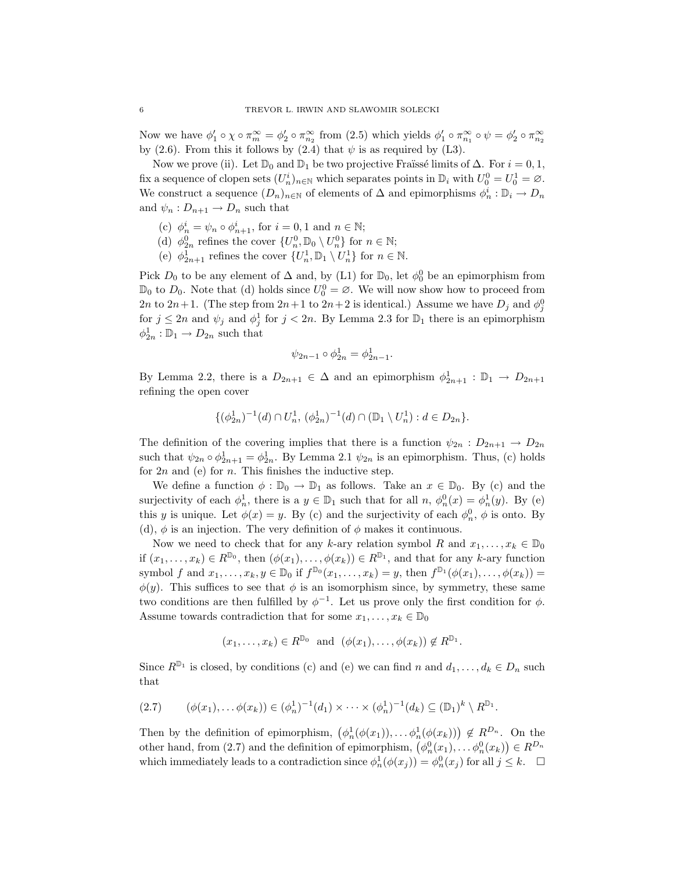Now we have  $\phi'_1 \circ \chi \circ \pi_m^{\infty} = \phi'_2 \circ \pi_{n_2}^{\infty}$  from (2.5) which yields  $\phi'_1 \circ \pi_{n_1}^{\infty} \circ \psi = \phi'_2 \circ \pi_{n_2}^{\infty}$ by (2.6). From this it follows by (2.4) that  $\psi$  is as required by (L3).

Now we prove (ii). Let  $\mathbb{D}_0$  and  $\mathbb{D}_1$  be two projective Fraüssé limits of  $\Delta$ . For  $i = 0, 1$ , fix a sequence of clopen sets  $(U_n^i)_{n \in \mathbb{N}}$  which separates points in  $\mathbb{D}_i$  with  $U_0^0 = U_0^1 = \emptyset$ . We construct a sequence  $(D_n)_{n\in\mathbb{N}}$  of elements of  $\Delta$  and epimorphisms  $\phi_n^i : \mathbb{D}_i \to D_n$ and  $\psi_n: D_{n+1} \to D_n$  such that

- (c)  $\phi_n^i = \psi_n \circ \phi_{n+1}^i$ , for  $i = 0, 1$  and  $n \in \mathbb{N}$ ;
- (d)  $\phi_{2n}^0$  refines the cover  $\{U_n^0, \mathbb{D}_0 \setminus U_n^0\}$  for  $n \in \mathbb{N}$ ;
- (e)  $\phi_{2n+1}^1$  refines the cover  $\{U_n^1, \mathbb{D}_1 \setminus U_n^1\}$  for  $n \in \mathbb{N}$ .

Pick  $D_0$  to be any element of  $\Delta$  and, by (L1) for  $\mathbb{D}_0$ , let  $\phi_0^0$  be an epimorphism from  $\mathbb{D}_0$  to  $D_0$ . Note that (d) holds since  $U_0^0 = \emptyset$ . We will now show how to proceed from 2n to 2n+1. (The step from  $2n+1$  to  $2n+2$  is identical.) Assume we have  $D_j$  and  $\phi_j^0$ for  $j \leq 2n$  and  $\psi_j$  and  $\phi_j^1$  for  $j < 2n$ . By Lemma 2.3 for  $\mathbb{D}_1$  there is an epimorphism  $\phi_{2n}^1 : \mathbb{D}_1 \to D_{2n}$  such that

$$
\psi_{2n-1}\circ\phi_{2n}^1=\phi_{2n-1}^1
$$

.

By Lemma 2.2, there is a  $D_{2n+1} \in \Delta$  and an epimorphism  $\phi_{2n+1}^1 : \mathbb{D}_1 \to D_{2n+1}$ refining the open cover

$$
\{(\phi_{2n}^1)^{-1}(d)\cap U_n^1, \, (\phi_{2n}^1)^{-1}(d)\cap (\mathbb{D}_1\setminus U_n^1): d\in D_{2n}\}.
$$

The definition of the covering implies that there is a function  $\psi_{2n}: D_{2n+1} \to D_{2n}$ such that  $\psi_{2n} \circ \phi_{2n+1}^1 = \phi_{2n}^1$ . By Lemma 2.1  $\psi_{2n}$  is an epimorphism. Thus, (c) holds for  $2n$  and (e) for n. This finishes the inductive step.

We define a function  $\phi : \mathbb{D}_0 \to \mathbb{D}_1$  as follows. Take an  $x \in \mathbb{D}_0$ . By (c) and the surjectivity of each  $\phi_n^1$ , there is a  $y \in \mathbb{D}_1$  such that for all  $n, \phi_n^0(x) = \phi_n^1(y)$ . By (e) this y is unique. Let  $\phi(x) = y$ . By (c) and the surjectivity of each  $\phi_n^0$ ,  $\phi$  is onto. By (d),  $\phi$  is an injection. The very definition of  $\phi$  makes it continuous.

Now we need to check that for any k-ary relation symbol R and  $x_1, \ldots, x_k \in \mathbb{D}_0$ if  $(x_1, \ldots, x_k) \in R^{\mathbb{D}_0}$ , then  $(\phi(x_1), \ldots, \phi(x_k)) \in R^{\mathbb{D}_1}$ , and that for any k-ary function symbol f and  $x_1, \ldots, x_k, y \in \mathbb{D}_0$  if  $f^{\mathbb{D}_0}(x_1, \ldots, x_k) = y$ , then  $f^{\mathbb{D}_1}(\phi(x_1), \ldots, \phi(x_k)) =$  $\phi(y)$ . This suffices to see that  $\phi$  is an isomorphism since, by symmetry, these same two conditions are then fulfilled by  $\phi^{-1}$ . Let us prove only the first condition for  $\phi$ . Assume towards contradiction that for some  $x_1, \ldots, x_k \in \mathbb{D}_0$ 

$$
(x_1,\ldots,x_k) \in R^{\mathbb{D}_0}
$$
 and  $(\phi(x_1),\ldots,\phi(x_k)) \notin R^{\mathbb{D}_1}$ .

Since  $R^{\mathbb{D}_1}$  is closed, by conditions (c) and (e) we can find n and  $d_1, \ldots, d_k \in D_n$  such that

$$
(2.7) \qquad (\phi(x_1), \ldots, \phi(x_k)) \in (\phi_n^1)^{-1}(d_1) \times \cdots \times (\phi_n^1)^{-1}(d_k) \subseteq (\mathbb{D}_1)^k \setminus R^{\mathbb{D}_1}.
$$

Then by the definition of epimorphism,  $(\phi_n^1(\phi(x_1)), \dots, \phi_n^1(\phi(x_k))) \notin R^{D_n}$ . On the Then by the definition of epimorphism,  $(\varphi_n(\varphi(x_1)), \dots \varphi_n(\varphi(x_k))) \notin R$ . On the other hand, from (2.7) and the definition of epimorphism,  $(\varphi_n^0(x_1), \dots \varphi_n^0(x_k)) \in R^{D_n}$ which immediately leads to a contradiction since  $\phi_n^1(\phi(x_j)) = \phi_n^0(x_j)$  for all  $j \leq k$ .  $\Box$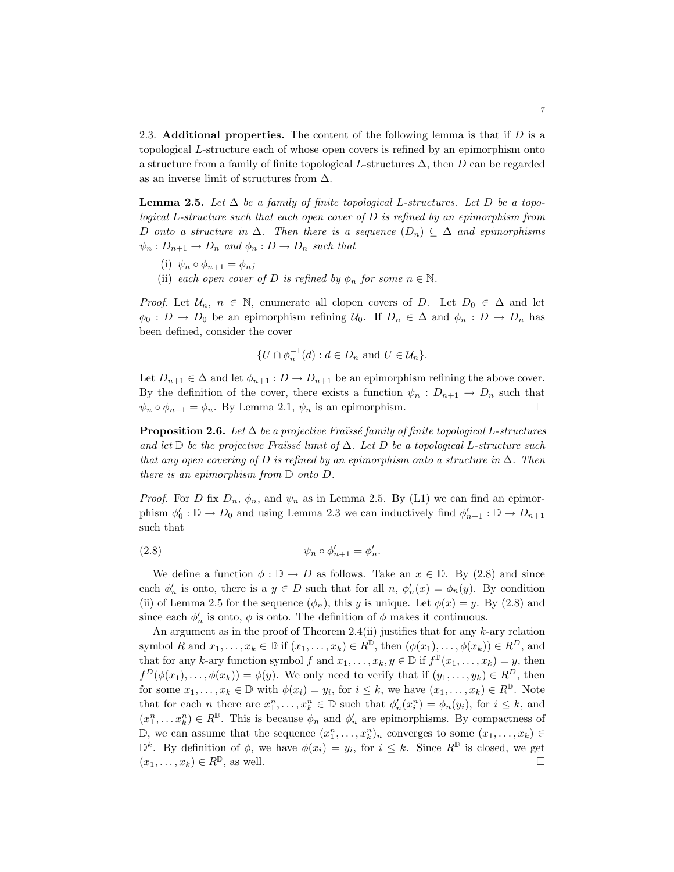2.3. Additional properties. The content of the following lemma is that if  $D$  is a topological L-structure each of whose open covers is refined by an epimorphism onto a structure from a family of finite topological L-structures  $\Delta$ , then D can be regarded as an inverse limit of structures from  $\Delta$ .

**Lemma 2.5.** Let  $\Delta$  be a family of finite topological L-structures. Let D be a topological L-structure such that each open cover of D is refined by an epimorphism from D onto a structure in  $\Delta$ . Then there is a sequence  $(D_n) \subseteq \Delta$  and epimorphisms  $\psi_n : D_{n+1} \to D_n$  and  $\phi_n : D \to D_n$  such that

- (i)  $\psi_n \circ \phi_{n+1} = \phi_n$ ;
- (ii) each open cover of D is refined by  $\phi_n$  for some  $n \in \mathbb{N}$ .

*Proof.* Let  $U_n$ ,  $n \in \mathbb{N}$ , enumerate all clopen covers of D. Let  $D_0 \in \Delta$  and let  $\phi_0 : D \to D_0$  be an epimorphism refining  $\mathcal{U}_0$ . If  $D_n \in \Delta$  and  $\phi_n : D \to D_n$  has been defined, consider the cover

$$
\{U \cap \phi_n^{-1}(d) : d \in D_n \text{ and } U \in \mathcal{U}_n\}.
$$

Let  $D_{n+1} \in \Delta$  and let  $\phi_{n+1} : D \to D_{n+1}$  be an epimorphism refining the above cover. By the definition of the cover, there exists a function  $\psi_n : D_{n+1} \to D_n$  such that  $\psi_n \circ \phi_{n+1} = \phi_n$ . By Lemma 2.1,  $\psi_n$  is an epimorphism.

**Proposition 2.6.** Let  $\Delta$  be a projective Fraüssé family of finite topological L-structures and let D be the projective Fraüssé limit of  $\Delta$ . Let D be a topological L-structure such that any open covering of D is refined by an epimorphism onto a structure in  $\Delta$ . Then there is an epimorphism from D onto D.

*Proof.* For D fix  $D_n$ ,  $\phi_n$ , and  $\psi_n$  as in Lemma 2.5. By (L1) we can find an epimorphism  $\phi'_0 : \mathbb{D} \to D_0$  and using Lemma 2.3 we can inductively find  $\phi'_{n+1} : \mathbb{D} \to D_{n+1}$ such that

$$
\psi_n \circ \phi'_{n+1} = \phi'_n.
$$

We define a function  $\phi : \mathbb{D} \to D$  as follows. Take an  $x \in \mathbb{D}$ . By (2.8) and since each  $\phi'_n$  is onto, there is a  $y \in D$  such that for all  $n, \phi'_n(x) = \phi_n(y)$ . By condition (ii) of Lemma 2.5 for the sequence  $(\phi_n)$ , this y is unique. Let  $\phi(x) = y$ . By (2.8) and since each  $\phi'_n$  is onto,  $\phi$  is onto. The definition of  $\phi$  makes it continuous.

An argument as in the proof of Theorem 2.4(ii) justifies that for any  $k$ -ary relation symbol R and  $x_1, \ldots, x_k \in \mathbb{D}$  if  $(x_1, \ldots, x_k) \in R^{\mathbb{D}}$ , then  $(\phi(x_1), \ldots, \phi(x_k)) \in R^D$ , and that for any k-ary function symbol f and  $x_1, \ldots, x_k, y \in \mathbb{D}$  if  $f^{\mathbb{D}}(x_1, \ldots, x_k) = y$ , then  $f^D(\phi(x_1),\ldots,\phi(x_k)) = \phi(y)$ . We only need to verify that if  $(y_1,\ldots,y_k) \in R^D$ , then for some  $x_1, \ldots, x_k \in \mathbb{D}$  with  $\phi(x_i) = y_i$ , for  $i \leq k$ , we have  $(x_1, \ldots, x_k) \in R^{\mathbb{D}}$ . Note that for each *n* there are  $x_1^n, \ldots, x_k^n \in \mathbb{D}$  such that  $\phi'_n(x_i^n) = \phi_n(y_i)$ , for  $i \leq k$ , and  $(x_1^n, \ldots, x_k^n) \in R^{\mathbb{D}}$ . This is because  $\phi_n$  and  $\phi'_n$  are epimorphisms. By compactness of D, we can assume that the sequence  $(x_1^n, \ldots, x_k^n)_n$  converges to some  $(x_1, \ldots, x_k)$  $\mathbb{D}^k$ . By definition of  $\phi$ , we have  $\phi(x_i) = y_i$ , for  $i \leq k$ . Since  $R^{\mathbb{D}}$  is closed, we get  $(x_1, \ldots, x_k) \in R^{\mathbb{D}}$ , as well.  $\square$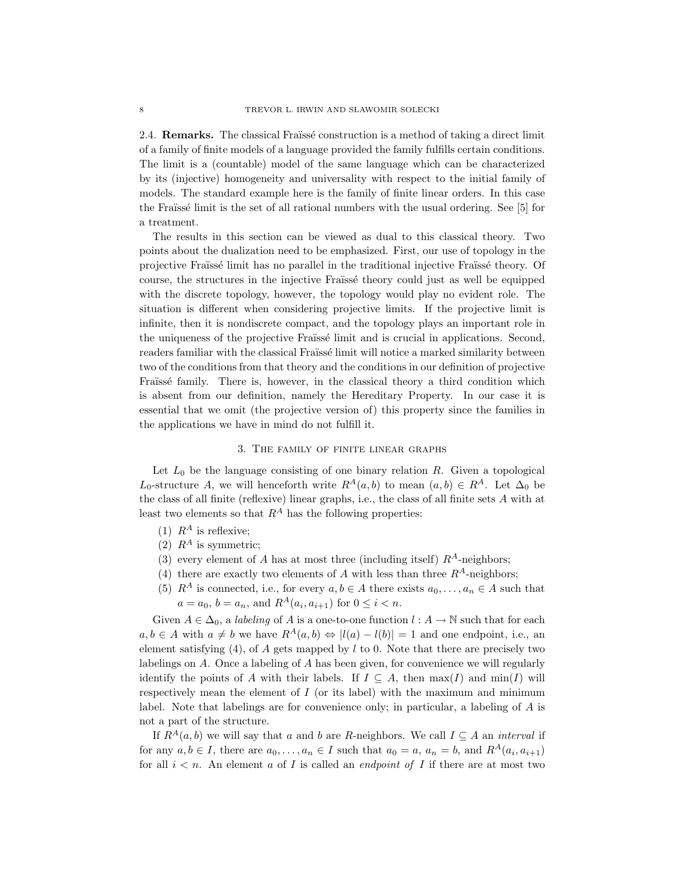2.4. **Remarks.** The classical Fraïssé construction is a method of taking a direct limit of a family of finite models of a language provided the family fulfills certain conditions. The limit is a (countable) model of the same language which can be characterized by its (injective) homogeneity and universality with respect to the initial family of models. The standard example here is the family of finite linear orders. In this case the Fraüsse limit is the set of all rational numbers with the usual ordering. See [5] for a treatment.

The results in this section can be viewed as dual to this classical theory. Two points about the dualization need to be emphasized. First, our use of topology in the projective Fraïssé limit has no parallel in the traditional injective Fraïssé theory. Of course, the structures in the injective Fraïssé theory could just as well be equipped with the discrete topology, however, the topology would play no evident role. The situation is different when considering projective limits. If the projective limit is infinite, then it is nondiscrete compact, and the topology plays an important role in the uniqueness of the projective Fraïssé limit and is crucial in applications. Second, readers familiar with the classical Fraüssé limit will notice a marked similarity between two of the conditions from that theory and the conditions in our definition of projective Fraïssé family. There is, however, in the classical theory a third condition which is absent from our definition, namely the Hereditary Property. In our case it is essential that we omit (the projective version of) this property since the families in the applications we have in mind do not fulfill it.

#### 3. The family of finite linear graphs

Let  $L_0$  be the language consisting of one binary relation R. Given a topological L<sub>0</sub>-structure A, we will henceforth write  $R^A(a, b)$  to mean  $(a, b) \in R^A$ . Let  $\Delta_0$  be the class of all finite (reflexive) linear graphs, i.e., the class of all finite sets A with at least two elements so that  $R^A$  has the following properties:

- (1)  $R^A$  is reflexive;
- (2)  $R^A$  is symmetric;
- (3) every element of A has at most three (including itself)  $R^A$ -neighbors;
- (4) there are exactly two elements of A with less than three  $R^A$ -neighbors;
- (5)  $R^A$  is connected, i.e., for every  $a, b \in A$  there exists  $a_0, \ldots, a_n \in A$  such that  $a = a_0, b = a_n$ , and  $R^A(a_i, a_{i+1})$  for  $0 \le i < n$ .

Given  $A \in \Delta_0$ , a *labeling* of A is a one-to-one function  $l : A \to \mathbb{N}$  such that for each  $a, b \in A$  with  $a \neq b$  we have  $R^A(a, b) \Leftrightarrow |l(a) - l(b)| = 1$  and one endpoint, i.e., an element satisfying  $(4)$ , of A gets mapped by l to 0. Note that there are precisely two labelings on A. Once a labeling of A has been given, for convenience we will regularly identify the points of A with their labels. If  $I \subseteq A$ , then  $\max(I)$  and  $\min(I)$  will respectively mean the element of  $I$  (or its label) with the maximum and minimum label. Note that labelings are for convenience only; in particular, a labeling of A is not a part of the structure.

If  $R^A(a, b)$  we will say that a and b are R-neighbors. We call  $I \subseteq A$  an interval if for any  $a, b \in I$ , there are  $a_0, \ldots, a_n \in I$  such that  $a_0 = a, a_n = b$ , and  $R^A(a_i, a_{i+1})$ for all  $i < n$ . An element a of I is called an *endpoint of I* if there are at most two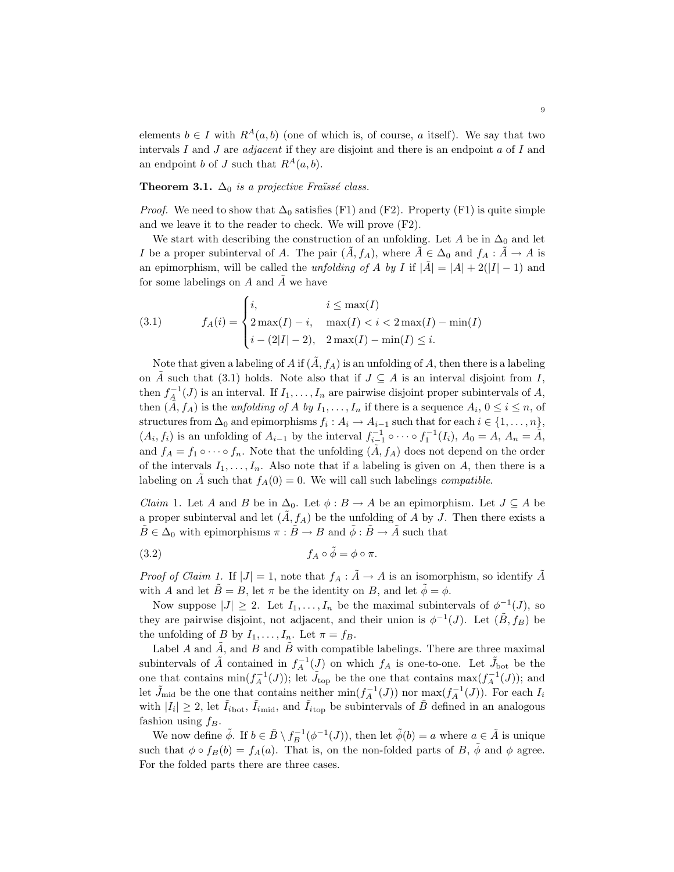elements  $b \in I$  with  $R^A(a, b)$  (one of which is, of course, a itself). We say that two intervals I and J are *adjacent* if they are disjoint and there is an endpoint  $a$  of I and an endpoint b of J such that  $R^A(a, b)$ .

Theorem 3.1.  $\Delta_0$  is a projective Fraüssé class.

*Proof.* We need to show that  $\Delta_0$  satisfies (F1) and (F2). Property (F1) is quite simple and we leave it to the reader to check. We will prove (F2).

We start with describing the construction of an unfolding. Let A be in  $\Delta_0$  and let I be a proper subinterval of A. The pair  $(\tilde{A}, f_A)$ , where  $\tilde{A} \in \Delta_0$  and  $f_A : \tilde{A} \to A$  is an epimorphism, will be called the *unfolding of A by I* if  $|\tilde{A}| = |A| + 2(|I| - 1)$  and for some labelings on  $A$  and  $\tilde{A}$  we have  $\overline{a}$ 

(3.1) 
$$
f_A(i) = \begin{cases} i, & i \leq \max(I) \\ 2 \max(I) - i, & \max(I) < i < 2 \max(I) - \min(I) \\ i - (2|I| - 2), & 2 \max(I) - \min(I) \leq i. \end{cases}
$$

Note that given a labeling of A if  $(\tilde{A}, f_A)$  is an unfolding of A, then there is a labeling on  $\tilde{A}$  such that (3.1) holds. Note also that if  $J \subseteq A$  is an interval disjoint from I, then  $f_A^{-1}(J)$  is an interval. If  $I_1, \ldots, I_n$  are pairwise disjoint proper subintervals of A, then  $(\tilde{\tilde{A}}, f_A)$  is the *unfolding of A by*  $I_1, \ldots, I_n$  if there is a sequence  $A_i, 0 \le i \le n$ , of structures from  $\Delta_0$  and epimorphisms  $f_i: A_i \to A_{i-1}$  such that for each  $i \in \{1, \ldots, n\}$ ,  $(A_i, f_i)$  is an unfolding of  $A_{i-1}$  by the interval  $f_{i-1}^{-1} \circ \cdots \circ f_1^{-1}(I_i)$ ,  $A_0 = A$ ,  $A_n = \tilde{A}$ , and  $f_A = f_1 \circ \cdots \circ f_n$ . Note that the unfolding  $(A, f_A)$  does not depend on the order of the intervals  $I_1, \ldots, I_n$ . Also note that if a labeling is given on A, then there is a labeling on A such that  $f_A(0) = 0$ . We will call such labelings *compatible*.

*Claim* 1. Let A and B be in  $\Delta_0$ . Let  $\phi : B \to A$  be an epimorphism. Let  $J \subseteq A$  be a proper subinterval and let  $(A, f_A)$  be the unfolding of A by J. Then there exists a  $B \in \Delta_0$  with epimorphisms  $\pi : B \to B$  and  $\phi : B \to A$  such that

(3.2) 
$$
f_A \circ \tilde{\phi} = \phi \circ \pi.
$$

*Proof of Claim 1.* If  $|J| = 1$ , note that  $f_A : \tilde{A} \to A$  is an isomorphism, so identify  $\tilde{A}$ with A and let  $\tilde{B} = B$ , let  $\pi$  be the identity on B, and let  $\tilde{\phi} = \phi$ .

Now suppose  $|J| \geq 2$ . Let  $I_1, \ldots, I_n$  be the maximal subintervals of  $\phi^{-1}(J)$ , so they are pairwise disjoint, not adjacent, and their union is  $\phi^{-1}(J)$ . Let  $(\tilde{B}, f_B)$  be the unfolding of B by  $I_1, \ldots, I_n$ . Let  $\pi = f_B$ .

Label A and  $\tilde{A}$ , and B and  $\tilde{B}$  with compatible labelings. There are three maximal subintervals of  $\tilde{A}$  contained in  $f_A^{-1}(J)$  on which  $f_A$  is one-to-one. Let  $\tilde{J}_{\text{bot}}$  be the one that contains  $\min(f_A^{-1}(J))$ ; let  $\tilde{J}_{\text{top}}$  be the one that contains  $\max(f_A^{-1}(J))$ ; and let  $\tilde{J}_{mid}$  be the one that contains neither  $\min(f_A^{-1}(J))$  nor  $\max(f_A^{-1}(J))$ . For each  $I_i$ with  $|I_i| \geq 2$ , let  $\tilde{I}_{i_{\text{bot}}}$ ,  $\tilde{I}_{i_{\text{mid}}}$ , and  $\tilde{I}_{i_{\text{top}}}$  be subintervals of  $\tilde{B}$  defined in an analogous fashion using  $f_B$ .

We now define  $\tilde{\phi}$ . If  $b \in \tilde{B} \setminus f_B^{-1}(\phi^{-1}(J))$ , then let  $\tilde{\phi}(b) = a$  where  $a \in \tilde{A}$  is unique such that  $\phi \circ f_B(b) = f_A(a)$ . That is, on the non-folded parts of B,  $\phi$  and  $\phi$  agree. For the folded parts there are three cases.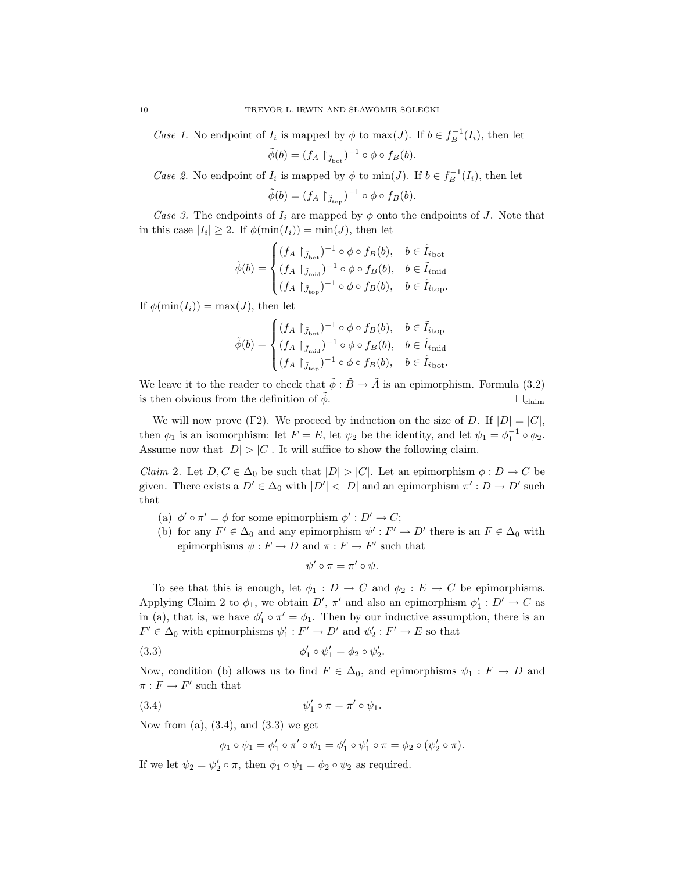Case 1. No endpoint of  $I_i$  is mapped by  $\phi$  to  $\max(J)$ . If  $b \in f_B^{-1}(I_i)$ , then let

$$
\tilde{\phi}(b) = (f_A \upharpoonright_{\tilde{J}_{\text{bot}}} )^{-1} \circ \phi \circ f_B(b).
$$

Case 2. No endpoint of  $I_i$  is mapped by  $\phi$  to  $\min(J)$ . If  $b \in f_B^{-1}(I_i)$ , then let

$$
\tilde{\phi}(b) = (f_A \upharpoonright_{\tilde{J}_{\text{top}}})^{-1} \circ \phi \circ f_B(b).
$$

Case 3. The endpoints of  $I_i$  are mapped by  $\phi$  onto the endpoints of J. Note that in this case  $|I_i| \geq 2$ . If  $\phi(\min(I_i)) = \min(J)$ , then let

$$
\tilde{\phi}(b) = \begin{cases}\n(f_A \restriction_{\tilde{J}_{\text{bot}}})^{-1} \circ \phi \circ f_B(b), & b \in \tilde{I}_{i_{\text{bot}}}\\
(f_A \restriction_{\tilde{J}_{\text{mid}}})^{-1} \circ \phi \circ f_B(b), & b \in \tilde{I}_{i_{\text{mid}}}\\
(f_A \restriction_{\tilde{J}_{\text{top}}})^{-1} \circ \phi \circ f_B(b), & b \in \tilde{I}_{i_{\text{top}}}.\n\end{cases}
$$

If  $\phi(\min(I_i)) = \max(J)$ , then let

$$
\tilde{\phi}(b) = \begin{cases}\n(f_A \restriction_{\tilde{J}_{\text{bot}}})^{-1} \circ \phi \circ f_B(b), & b \in \tilde{I}_{i_{\text{top}}}\\
(f_A \restriction_{\tilde{J}_{\text{mid}}})^{-1} \circ \phi \circ f_B(b), & b \in \tilde{I}_{i_{\text{mid}}}\\
(f_A \restriction_{\tilde{J}_{\text{top}}})^{-1} \circ \phi \circ f_B(b), & b \in \tilde{I}_{i_{\text{bot}}}.\n\end{cases}
$$

We leave it to the reader to check that  $\tilde{\phi} : \tilde{B} \to \tilde{A}$  is an epimorphism. Formula (3.2) is then obvious from the definition of  $\tilde{\phi}$ .  $\Box_{\text{claim}}$ 

We will now prove (F2). We proceed by induction on the size of D. If  $|D| = |C|$ , then  $\phi_1$  is an isomorphism: let  $F = E$ , let  $\psi_2$  be the identity, and let  $\psi_1 = \phi_1^{-1} \circ \phi_2$ . Assume now that  $|D| > |C|$ . It will suffice to show the following claim.

*Claim* 2. Let  $D, C \in \Delta_0$  be such that  $|D| > |C|$ . Let an epimorphism  $\phi : D \to C$  be given. There exists a  $D' \in \Delta_0$  with  $|D'| < |D|$  and an epimorphism  $\pi' : D \to D'$  such that

- (a)  $\phi' \circ \pi' = \phi$  for some epimorphism  $\phi' : D' \to C$ ;
- (b) for any  $F' \in \Delta_0$  and any epimorphism  $\psi' : F' \to D'$  there is an  $F \in \Delta_0$  with epimorphisms  $\psi : F \to D$  and  $\pi : F \to F'$  such that

$$
\psi' \circ \pi = \pi' \circ \psi.
$$

To see that this is enough, let  $\phi_1 : D \to C$  and  $\phi_2 : E \to C$  be epimorphisms. Applying Claim 2 to  $\phi_1$ , we obtain  $D'$ ,  $\pi'$  and also an epimorphism  $\phi'_1: D' \to C$  as in (a), that is, we have  $\phi'_1 \circ \pi' = \phi_1$ . Then by our inductive assumption, there is an  $F' \in \Delta_0$  with epimorphisms  $\psi'_1 : F' \to D'$  and  $\psi'_2 : F' \to E$  so that

(3.3) 
$$
\phi_1' \circ \psi_1' = \phi_2 \circ \psi_2'.
$$

Now, condition (b) allows us to find  $F \in \Delta_0$ , and epimorphisms  $\psi_1 : F \to D$  and  $\pi : F \to F'$  such that

(3.4) 
$$
\psi_1' \circ \pi = \pi' \circ \psi_1.
$$

Now from  $(a)$ ,  $(3.4)$ , and  $(3.3)$  we get

$$
\phi_1 \circ \psi_1 = \phi_1' \circ \pi' \circ \psi_1 = \phi_1' \circ \psi_1' \circ \pi = \phi_2 \circ (\psi_2' \circ \pi).
$$

If we let  $\psi_2 = \psi'_2 \circ \pi$ , then  $\phi_1 \circ \psi_1 = \phi_2 \circ \psi_2$  as required.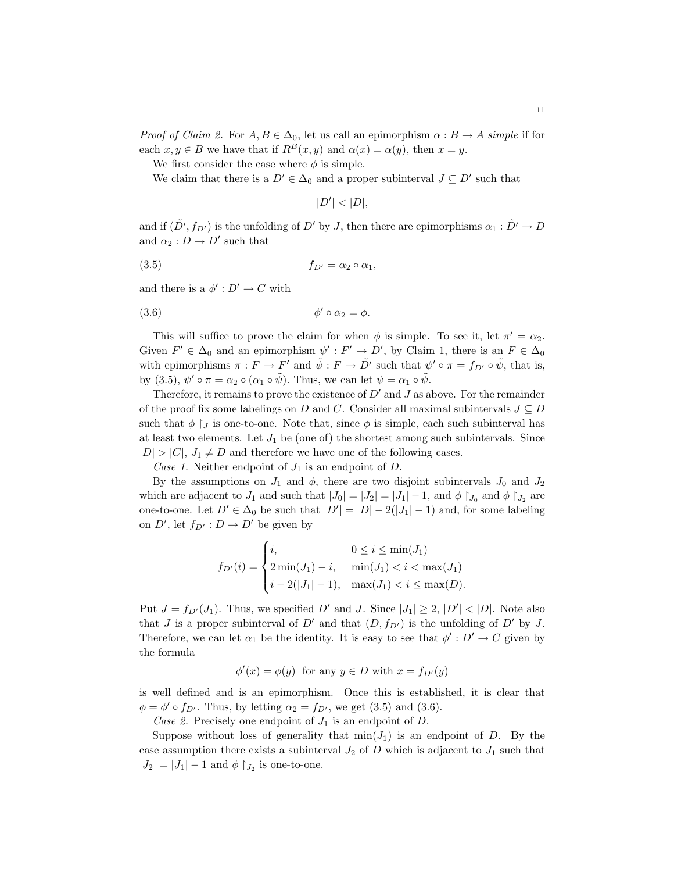*Proof of Claim 2.* For  $A, B \in \Delta_0$ , let us call an epimorphism  $\alpha : B \to A$  simple if for each  $x, y \in B$  we have that if  $R^B(x, y)$  and  $\alpha(x) = \alpha(y)$ , then  $x = y$ .

We first consider the case where  $\phi$  is simple.

We claim that there is a  $D' \in \Delta_0$  and a proper subinterval  $J \subseteq D'$  such that

 $|D'| < |D|,$ 

and if  $(\tilde{D}', f_{D'})$  is the unfolding of  $D'$  by J, then there are epimorphisms  $\alpha_1 : \tilde{D}' \to D$ and  $\alpha_2: D \to D'$  such that

$$
(3.5) \t\t f_{D'} = \alpha_2 \circ \alpha_1,
$$

and there is a  $\phi': D' \to C$  with

$$
\phi' \circ \alpha_2 = \phi.
$$

This will suffice to prove the claim for when  $\phi$  is simple. To see it, let  $\pi' = \alpha_2$ . Given  $F' \in \Delta_0$  and an epimorphism  $\psi' : F' \to D'$ , by Claim 1, there is an  $F \in \Delta_0$ with epimorphisms  $\pi : F \to F'$  and  $\tilde{\psi} : F \to \tilde{D}'$  such that  $\psi' \circ \pi = f_{D'} \circ \tilde{\psi}$ , that is, by (3.5),  $\psi' \circ \pi = \alpha_2 \circ (\alpha_1 \circ \tilde{\psi})$ . Thus, we can let  $\psi = \alpha_1 \circ \tilde{\psi}$ .

Therefore, it remains to prove the existence of  $D'$  and  $J$  as above. For the remainder of the proof fix some labelings on D and C. Consider all maximal subintervals  $J \subseteq D$ such that  $\phi \restriction_J$  is one-to-one. Note that, since  $\phi$  is simple, each such subinterval has at least two elements. Let  $J_1$  be (one of) the shortest among such subintervals. Since  $|D| > |C|$ ,  $J_1 \neq D$  and therefore we have one of the following cases.

Case 1. Neither endpoint of  $J_1$  is an endpoint of D.

By the assumptions on  $J_1$  and  $\phi$ , there are two disjoint subintervals  $J_0$  and  $J_2$ which are adjacent to  $J_1$  and such that  $|J_0| = |J_2| = |J_1| - 1$ , and  $\phi \upharpoonright_{J_0}$  and  $\phi \upharpoonright_{J_2}$  are one-to-one. Let  $D' \in \Delta_0$  be such that  $|D'| = |D| - 2(|J_1| - 1)$  and, for some labeling on  $D'$ , let  $f_{D'} : D \to D'$  be given by

$$
f_{D'}(i) = \begin{cases} i, & 0 \le i \le \min(J_1) \\ 2\min(J_1) - i, & \min(J_1) < i < \max(J_1) \\ i - 2(|J_1| - 1), & \max(J_1) < i \le \max(D). \end{cases}
$$

Put  $J = f_{D'}(J_1)$ . Thus, we specified D' and J. Since  $|J_1| \geq 2$ ,  $|D'| < |D|$ . Note also that J is a proper subinterval of  $D'$  and that  $(D, f_{D'})$  is the unfolding of  $D'$  by J. Therefore, we can let  $\alpha_1$  be the identity. It is easy to see that  $\phi' : D' \to C$  given by the formula

$$
\phi'(x) = \phi(y)
$$
 for any  $y \in D$  with  $x = f_{D'}(y)$ 

is well defined and is an epimorphism. Once this is established, it is clear that  $\phi = \phi' \circ f_{D'}$ . Thus, by letting  $\alpha_2 = f_{D'}$ , we get (3.5) and (3.6).

Case 2. Precisely one endpoint of  $J_1$  is an endpoint of D.

Suppose without loss of generality that  $\min(J_1)$  is an endpoint of D. By the case assumption there exists a subinterval  $J_2$  of D which is adjacent to  $J_1$  such that  $|J_2| = |J_1| - 1$  and  $\phi \restriction J_2$  is one-to-one.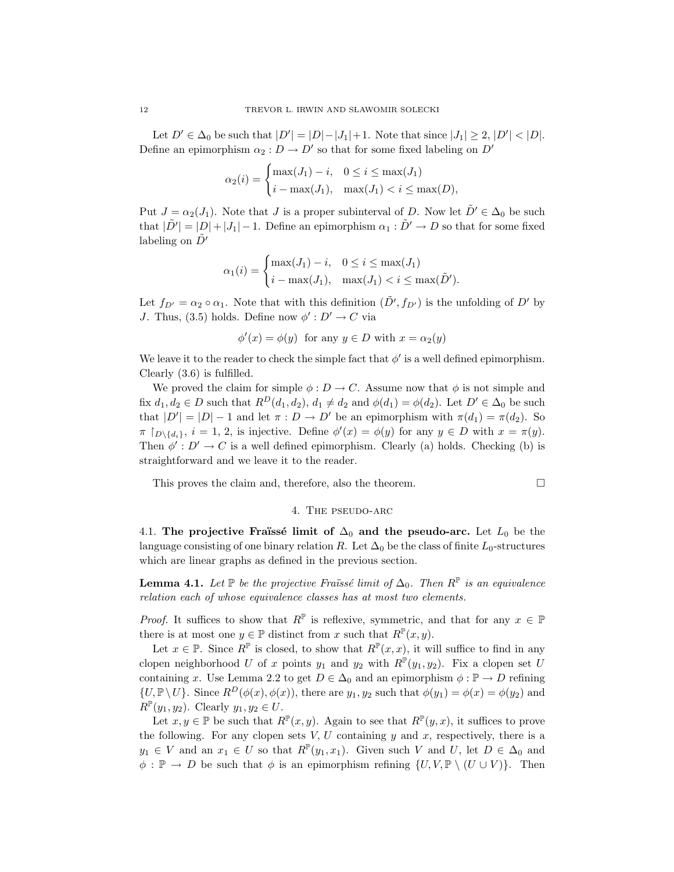Let  $D' \in \Delta_0$  be such that  $|D'| = |D|-|J_1|+1$ . Note that since  $|J_1| \geq 2$ ,  $|D'| < |D|$ . Define an epimorphism  $\alpha_2: D \to D'$  so that for some fixed labeling on  $D'$ 

$$
\alpha_2(i) = \begin{cases} \max(J_1) - i, & 0 \le i \le \max(J_1) \\ i - \max(J_1), & \max(J_1) < i \le \max(D), \end{cases}
$$

Put  $J = \alpha_2(J_1)$ . Note that J is a proper subinterval of D. Now let  $\tilde{D}' \in \Delta_0$  be such that  $|\tilde{D'}| = |D| + |J_1| - 1$ . Define an epimorphism  $\alpha_1 : \tilde{D'} \to D$  so that for some fixed labeling on  $D'$ 

$$
\alpha_1(i) = \begin{cases} \max(J_1) - i, & 0 \le i \le \max(J_1) \\ i - \max(J_1), & \max(J_1) < i \le \max(\tilde{D}'). \end{cases}
$$

Let  $f_{D'} = \alpha_2 \circ \alpha_1$ . Note that with this definition  $(\tilde{D'}, f_{D'})$  is the unfolding of  $D'$  by J. Thus, (3.5) holds. Define now  $\phi': D' \to C$  via

$$
\phi'(x) = \phi(y)
$$
 for any  $y \in D$  with  $x = \alpha_2(y)$ 

We leave it to the reader to check the simple fact that  $\phi'$  is a well defined epimorphism. Clearly (3.6) is fulfilled.

We proved the claim for simple  $\phi : D \to C$ . Assume now that  $\phi$  is not simple and fix  $d_1, d_2 \in D$  such that  $R^D(d_1, d_2), d_1 \neq d_2$  and  $\phi(d_1) = \phi(d_2)$ . Let  $D' \in \Delta_0$  be such that  $|D'| = |D| - 1$  and let  $\pi : D \to D'$  be an epimorphism with  $\pi(d_1) = \pi(d_2)$ . So  $\pi \restriction_{D \setminus \{d_i\}}, i = 1, 2$ , is injective. Define  $\phi'(x) = \phi(y)$  for any  $y \in D$  with  $x = \pi(y)$ . Then  $\phi' : D' \to C$  is a well defined epimorphism. Clearly (a) holds. Checking (b) is straightforward and we leave it to the reader.

This proves the claim and, therefore, also the theorem.  $\Box$ 

#### 4. The pseudo-arc

4.1. The projective Fraüssé limit of  $\Delta_0$  and the pseudo-arc. Let  $L_0$  be the language consisting of one binary relation R. Let  $\Delta_0$  be the class of finite L<sub>0</sub>-structures which are linear graphs as defined in the previous section.

**Lemma 4.1.** Let  $\mathbb P$  be the projective Fraüssé limit of  $\Delta_0$ . Then  $R^{\mathbb P}$  is an equivalence relation each of whose equivalence classes has at most two elements.

*Proof.* It suffices to show that  $R^{\mathbb{P}}$  is reflexive, symmetric, and that for any  $x \in \mathbb{P}$ there is at most one  $y \in \mathbb{P}$  distinct from x such that  $R^{\mathbb{P}}(x, y)$ .

Let  $x \in \mathbb{P}$ . Since  $R^{\mathbb{P}}$  is closed, to show that  $R^{\mathbb{P}}(x,x)$ , it will suffice to find in any clopen neighborhood U of x points  $y_1$  and  $y_2$  with  $R^{\mathbb{P}}(y_1, y_2)$ . Fix a clopen set U containing x. Use Lemma 2.2 to get  $D \in \Delta_0$  and an epimorphism  $\phi : \mathbb{P} \to D$  refining  $\{U, \mathbb{P}\setminus U\}.$  Since  $R^D(\phi(x), \phi(x))$ , there are  $y_1, y_2$  such that  $\phi(y_1) = \phi(x) = \phi(y_2)$  and  $R^{\mathbb{P}}(y_1, y_2)$ . Clearly  $y_1, y_2 \in U$ .

Let  $x, y \in \mathbb{P}$  be such that  $R^{\mathbb{P}}(x, y)$ . Again to see that  $R^{\mathbb{P}}(y, x)$ , it suffices to prove the following. For any clopen sets  $V, U$  containing  $y$  and  $x$ , respectively, there is a  $y_1 \in V$  and an  $x_1 \in U$  so that  $R^{\mathbb{P}}(y_1, x_1)$ . Given such V and U, let  $D \in \Delta_0$  and  $\phi : \mathbb{P} \to D$  be such that  $\phi$  is an epimorphism refining  $\{U, V, \mathbb{P} \setminus (U \cup V) \}$ . Then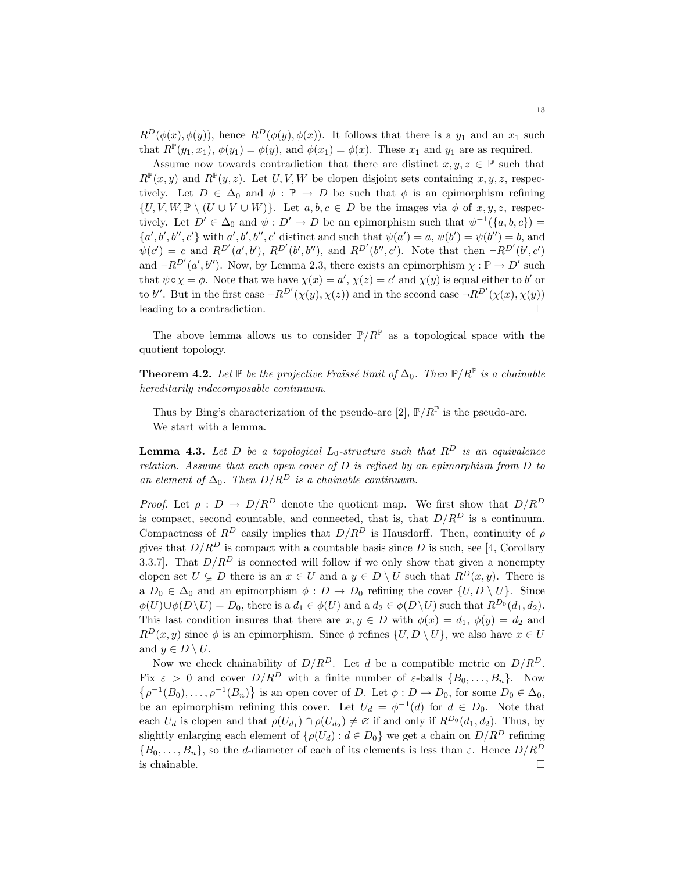$R^D(\phi(x), \phi(y))$ , hence  $R^D(\phi(y), \phi(x))$ . It follows that there is a  $y_1$  and an  $x_1$  such that  $R^{\mathbb{P}}(y_1, x_1)$ ,  $\phi(y_1) = \phi(y)$ , and  $\phi(x_1) = \phi(x)$ . These  $x_1$  and  $y_1$  are as required.

Assume now towards contradiction that there are distinct  $x, y, z \in \mathbb{P}$  such that  $R^{\mathbb{P}}(x,y)$  and  $R^{\mathbb{P}}(y,z)$ . Let U, V, W be clopen disjoint sets containing  $x, y, z$ , respectively. Let  $D \in \Delta_0$  and  $\phi : \mathbb{P} \to D$  be such that  $\phi$  is an epimorphism refining  $\{U, V, W, \mathbb{P} \setminus (U \cup V \cup W)\}.$  Let  $a, b, c \in D$  be the images via  $\phi$  of  $x, y, z$ , respectively. Let  $D' \in \Delta_0$  and  $\psi : D' \to D$  be an epimorphism such that  $\psi^{-1}(\{a, b, c\}) =$  ${a', b', b'', c'}$  with  $a', b', b'', c'$  distinct and such that  $\psi(a') = a, \psi(b') = \psi(b'') = b$ , and  $\psi(c') = c$  and  $R^{D'}(a', b')$ ,  $R^{D'}(b', b'')$ , and  $R^{D'}(b'', c')$ . Note that then  $\neg R^{D'}(b', c')$ and  $\neg R^{D'}(a',b'')$ . Now, by Lemma 2.3, there exists an epimorphism  $\chi : \mathbb{P} \to D'$  such that  $\psi \circ \chi = \phi$ . Note that we have  $\chi(x) = a'$ ,  $\chi(z) = c'$  and  $\chi(y)$  is equal either to b' or to b''. But in the first case  $\neg R^{D'}(\chi(y), \chi(z))$  and in the second case  $\neg R^{D'}(\chi(x), \chi(y))$ leading to a contradiction.  $\Box$ 

The above lemma allows us to consider  $P/R^P$  as a topological space with the quotient topology.

**Theorem 4.2.** Let  $\mathbb P$  be the projective Fraüssé limit of  $\Delta_0$ . Then  $\mathbb P/R^{\mathbb P}$  is a chainable hereditarily indecomposable continuum.

Thus by Bing's characterization of the pseudo-arc [2],  $\mathbb{P}/R^{\mathbb{P}}$  is the pseudo-arc. We start with a lemma.

**Lemma 4.3.** Let D be a topological  $L_0$ -structure such that  $R^D$  is an equivalence relation. Assume that each open cover of  $D$  is refined by an epimorphism from  $D$  to an element of  $\Delta_0$ . Then  $D/R^D$  is a chainable continuum.

*Proof.* Let  $\rho : D \to D/R^D$  denote the quotient map. We first show that  $D/R^D$ is compact, second countable, and connected, that is, that  $D/R^D$  is a continuum. Compactness of  $R^D$  easily implies that  $D/R^D$  is Hausdorff. Then, continuity of  $\rho$ gives that  $D/R^D$  is compact with a countable basis since D is such, see [4, Corollary 3.3.7]. That  $D/R^D$  is connected will follow if we only show that given a nonempty clopen set  $U \subsetneq D$  there is an  $x \in U$  and a  $y \in D \setminus U$  such that  $R^D(x, y)$ . There is a  $D_0 \in \Delta_0$  and an epimorphism  $\phi : D \to D_0$  refining the cover  $\{U, D \setminus U\}$ . Since  $\phi(U)\cup\phi(D\setminus U)=D_0$ , there is a  $d_1\in\phi(U)$  and a  $d_2\in\phi(D\setminus U)$  such that  $R^{D_0}(d_1,d_2)$ . This last condition insures that there are  $x, y \in D$  with  $\phi(x) = d_1, \phi(y) = d_2$  and  $R^D(x, y)$  since  $\phi$  is an epimorphism. Since  $\phi$  refines  $\{U, D \setminus U\}$ , we also have  $x \in U$ and  $y \in D \setminus U$ .

Now we check chainability of  $D/R^D$ . Let d be a compatible metric on  $D/R^D$ . Fix  $\varepsilon > 0$  and cover  $D/R^D$  with a finite number of  $\varepsilon$ -balls  $\{B_0, \ldots, B_n\}$ . Now  $\rho^{-1}(B_0), \ldots, \rho^{-1}(B_n)$  is an open cover of D. Let  $\phi: D \to D_0$ , for some  $D_0 \in \Delta_0$ , be an epimorphism refining this cover. Let  $U_d = \phi^{-1}(d)$  for  $d \in D_0$ . Note that each  $U_d$  is clopen and that  $\rho(U_{d_1}) \cap \rho(U_{d_2}) \neq \emptyset$  if and only if  $R^{D_0}(d_1, d_2)$ . Thus, by slightly enlarging each element of  $\{\rho(U_d) : d \in D_0\}$  we get a chain on  $D/R^D$  refining  ${B_0, \ldots, B_n}$ , so the d-diameter of each of its elements is less than  $\varepsilon$ . Hence  $D/R^D$ is chainable.  $\Box$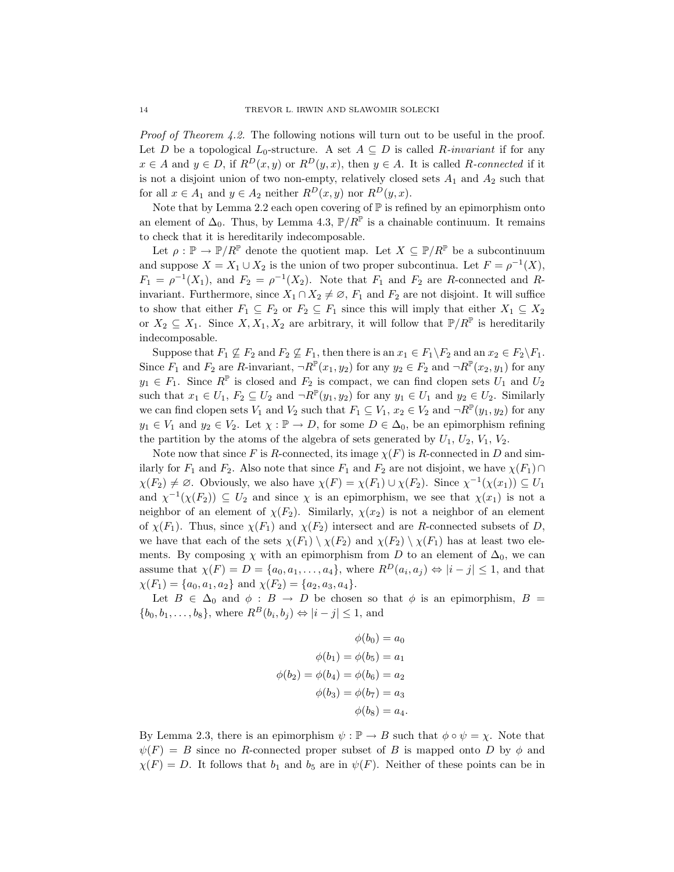Proof of Theorem 4.2. The following notions will turn out to be useful in the proof. Let D be a topological  $L_0$ -structure. A set  $A \subseteq D$  is called R-invariant if for any  $x \in A$  and  $y \in D$ , if  $R^D(x, y)$  or  $R^D(y, x)$ , then  $y \in A$ . It is called R-connected if it is not a disjoint union of two non-empty, relatively closed sets  $A_1$  and  $A_2$  such that for all  $x \in A_1$  and  $y \in A_2$  neither  $R^D(x, y)$  nor  $R^D(y, x)$ .

Note that by Lemma 2.2 each open covering of  $\mathbb P$  is refined by an epimorphism onto an element of  $\Delta_0$ . Thus, by Lemma 4.3,  $\mathbb{P}/R^{\mathbb{P}}$  is a chainable continuum. It remains to check that it is hereditarily indecomposable.

Let  $\rho : \mathbb{P} \to \mathbb{P}/R^{\mathbb{P}}$  denote the quotient map. Let  $X \subseteq \mathbb{P}/R^{\mathbb{P}}$  be a subcontinuum and suppose  $X = X_1 \cup X_2$  is the union of two proper subcontinua. Let  $F = \rho^{-1}(X)$ ,  $F_1 = \rho^{-1}(X_1)$ , and  $F_2 = \rho^{-1}(X_2)$ . Note that  $F_1$  and  $F_2$  are R-connected and Rinvariant. Furthermore, since  $X_1 \cap X_2 \neq \emptyset$ ,  $F_1$  and  $F_2$  are not disjoint. It will suffice to show that either  $F_1 \subseteq F_2$  or  $F_2 \subseteq F_1$  since this will imply that either  $X_1 \subseteq X_2$ or  $X_2 \subseteq X_1$ . Since  $X, X_1, X_2$  are arbitrary, it will follow that  $\mathbb{P}/R^{\mathbb{P}}$  is hereditarily indecomposable.

Suppose that  $F_1 \nsubseteq F_2$  and  $F_2 \nsubseteq F_1$ , then there is an  $x_1 \in F_1 \backslash F_2$  and an  $x_2 \in F_2 \backslash F_1$ . Since  $F_1$  and  $F_2$  are R-invariant,  $\neg R^{\mathbb{P}}(x_1, y_2)$  for any  $y_2 \in F_2$  and  $\neg R^{\mathbb{P}}(x_2, y_1)$  for any  $y_1 \in F_1$ . Since  $R^{\mathbb{P}}$  is closed and  $F_2$  is compact, we can find clopen sets  $U_1$  and  $U_2$ such that  $x_1 \in U_1$ ,  $F_2 \subseteq U_2$  and  $\neg R^{\mathbb{P}}(y_1, y_2)$  for any  $y_1 \in U_1$  and  $y_2 \in U_2$ . Similarly we can find clopen sets  $V_1$  and  $V_2$  such that  $F_1 \subseteq V_1$ ,  $x_2 \in V_2$  and  $\neg R^{\mathbb{P}}(y_1, y_2)$  for any  $y_1 \in V_1$  and  $y_2 \in V_2$ . Let  $\chi : \mathbb{P} \to D$ , for some  $D \in \Delta_0$ , be an epimorphism refining the partition by the atoms of the algebra of sets generated by  $U_1, U_2, V_1, V_2$ .

Note now that since F is R-connected, its image  $\chi(F)$  is R-connected in D and similarly for  $F_1$  and  $F_2$ . Also note that since  $F_1$  and  $F_2$  are not disjoint, we have  $\chi(F_1) \cap$  $\chi(F_2) \neq \emptyset$ . Obviously, we also have  $\chi(F) = \chi(F_1) \cup \chi(F_2)$ . Since  $\chi^{-1}(\chi(x_1)) \subseteq U_1$ and  $\chi^{-1}(\chi(F_2)) \subseteq U_2$  and since  $\chi$  is an epimorphism, we see that  $\chi(x_1)$  is not a neighbor of an element of  $\chi(F_2)$ . Similarly,  $\chi(x_2)$  is not a neighbor of an element of  $\chi(F_1)$ . Thus, since  $\chi(F_1)$  and  $\chi(F_2)$  intersect and are R-connected subsets of D, we have that each of the sets  $\chi(F_1) \setminus \chi(F_2)$  and  $\chi(F_2) \setminus \chi(F_1)$  has at least two elements. By composing  $\chi$  with an epimorphism from D to an element of  $\Delta_0$ , we can assume that  $\chi(F) = D = \{a_0, a_1, \ldots, a_4\}$ , where  $R^D(a_i, a_j) \Leftrightarrow |i - j| \leq 1$ , and that  $\chi(F_1) = \{a_0, a_1, a_2\}$  and  $\chi(F_2) = \{a_2, a_3, a_4\}.$ 

Let  $B \in \Delta_0$  and  $\phi : B \to D$  be chosen so that  $\phi$  is an epimorphism,  $B =$  $\{b_0, b_1, \ldots, b_8\}$ , where  $R^B(b_i, b_j) \Leftrightarrow |i - j| \leq 1$ , and

$$
\phi(b_0) = a_0
$$
  

$$
\phi(b_1) = \phi(b_5) = a_1
$$
  

$$
\phi(b_2) = \phi(b_4) = \phi(b_6) = a_2
$$
  

$$
\phi(b_3) = \phi(b_7) = a_3
$$
  

$$
\phi(b_8) = a_4.
$$

By Lemma 2.3, there is an epimorphism  $\psi : \mathbb{P} \to B$  such that  $\phi \circ \psi = \chi$ . Note that  $\psi(F) = B$  since no R-connected proper subset of B is mapped onto D by  $\phi$  and  $\chi(F) = D$ . It follows that  $b_1$  and  $b_5$  are in  $\psi(F)$ . Neither of these points can be in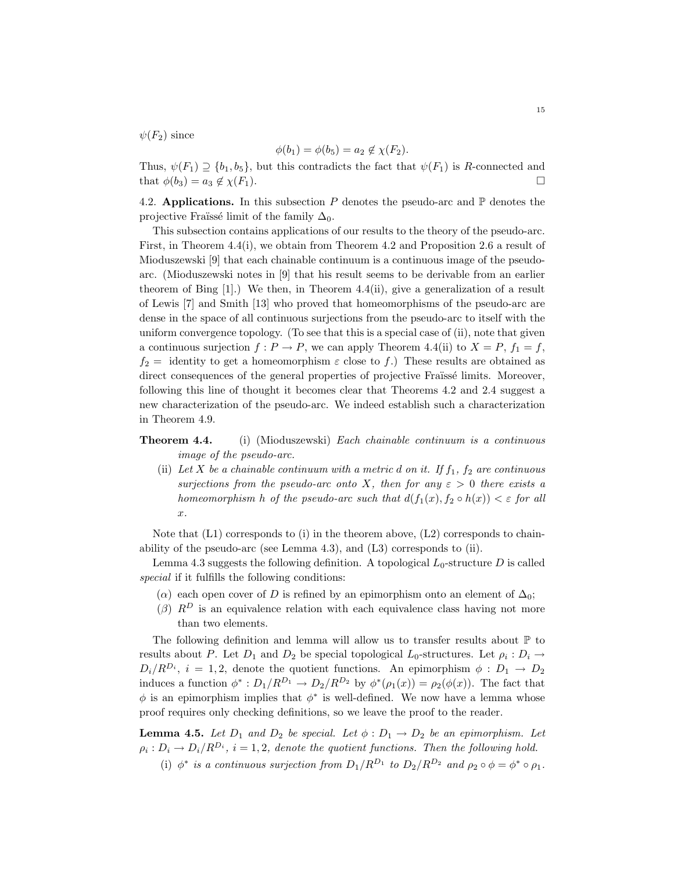$\psi(F_2)$  since

$$
\phi(b_1) = \phi(b_5) = a_2 \notin \chi(F_2).
$$

Thus,  $\psi(F_1) \supseteq \{b_1, b_5\}$ , but this contradicts the fact that  $\psi(F_1)$  is R-connected and that  $\phi(b_3) = a_3 \notin \chi(F_1)$ .

4.2. Applications. In this subsection P denotes the pseudo-arc and  $\mathbb P$  denotes the projective Fraïssé limit of the family  $\Delta_0$ .

This subsection contains applications of our results to the theory of the pseudo-arc. First, in Theorem 4.4(i), we obtain from Theorem 4.2 and Proposition 2.6 a result of Mioduszewski [9] that each chainable continuum is a continuous image of the pseudoarc. (Mioduszewski notes in [9] that his result seems to be derivable from an earlier theorem of Bing  $[1]$ .) We then, in Theorem 4.4(ii), give a generalization of a result of Lewis [7] and Smith [13] who proved that homeomorphisms of the pseudo-arc are dense in the space of all continuous surjections from the pseudo-arc to itself with the uniform convergence topology. (To see that this is a special case of (ii), note that given a continuous surjection  $f: P \to P$ , we can apply Theorem 4.4(ii) to  $X = P$ ,  $f_1 = f$ ,  $f_2$  = identity to get a homeomorphism  $\varepsilon$  close to f.) These results are obtained as direct consequences of the general properties of projective Fraïssé limits. Moreover, following this line of thought it becomes clear that Theorems 4.2 and 2.4 suggest a new characterization of the pseudo-arc. We indeed establish such a characterization in Theorem 4.9.

**Theorem 4.4.** (i) (Mioduszewski) Each chainable continuum is a continuous image of the pseudo-arc.

(ii) Let X be a chainable continuum with a metric d on it. If  $f_1$ ,  $f_2$  are continuous surjections from the pseudo-arc onto X, then for any  $\varepsilon > 0$  there exists a homeomorphism h of the pseudo-arc such that  $d(f_1(x), f_2 \circ h(x)) < \varepsilon$  for all x.

Note that  $(L1)$  corresponds to (i) in the theorem above,  $(L2)$  corresponds to chainability of the pseudo-arc (see Lemma 4.3), and  $(L3)$  corresponds to (ii).

Lemma 4.3 suggests the following definition. A topological  $L_0$ -structure D is called special if it fulfills the following conditions:

- ( $\alpha$ ) each open cover of D is refined by an epimorphism onto an element of  $\Delta_0$ ;
- ( $\beta$ )  $R^D$  is an equivalence relation with each equivalence class having not more than two elements.

The following definition and lemma will allow us to transfer results about  $\mathbb P$  to results about P. Let  $D_1$  and  $D_2$  be special topological  $L_0$ -structures. Let  $\rho_i : D_i \to$  $D_i/R^{D_i}$ ,  $i = 1, 2$ , denote the quotient functions. An epimorphism  $\phi : D_1 \rightarrow D_2$ induces a function  $\phi^*: D_1/R^{D_1} \to D_2/R^{D_2}$  by  $\phi^*(\rho_1(x)) = \rho_2(\phi(x))$ . The fact that  $\phi$  is an epimorphism implies that  $\phi^*$  is well-defined. We now have a lemma whose proof requires only checking definitions, so we leave the proof to the reader.

**Lemma 4.5.** Let  $D_1$  and  $D_2$  be special. Let  $\phi : D_1 \to D_2$  be an epimorphism. Let  $\rho_i: D_i \to D_i/R^{D_i}, i = 1, 2$ , denote the quotient functions. Then the following hold.

(i)  $\phi^*$  is a continuous surjection from  $D_1/R^{D_1}$  to  $D_2/R^{D_2}$  and  $\rho_2 \circ \phi = \phi^* \circ \rho_1$ .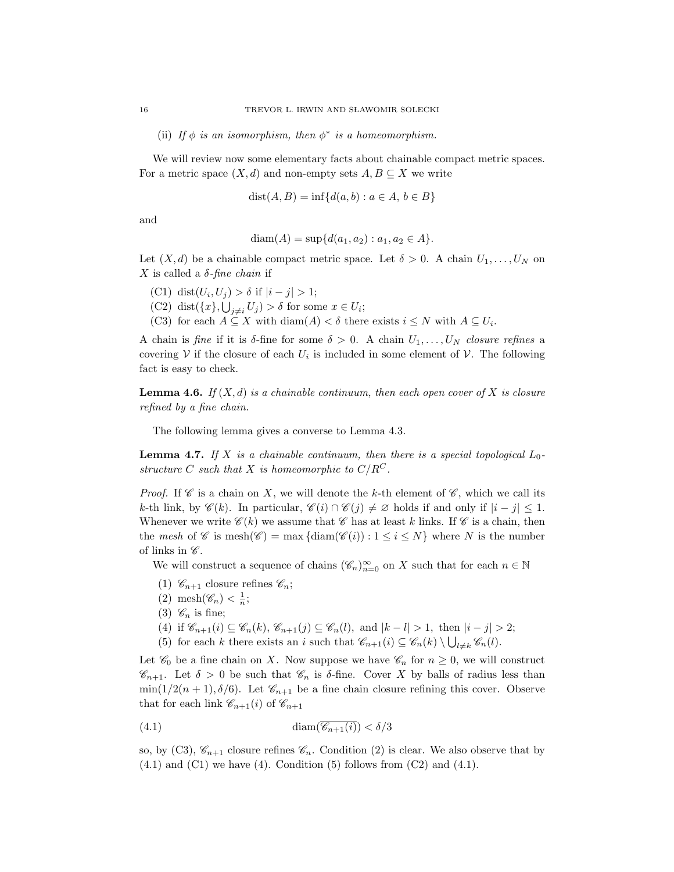(ii) If  $\phi$  is an isomorphism, then  $\phi^*$  is a homeomorphism.

We will review now some elementary facts about chainable compact metric spaces. For a metric space  $(X, d)$  and non-empty sets  $A, B \subseteq X$  we write

$$
dist(A, B) = inf{d(a, b) : a \in A, b \in B}
$$

and

$$
diam(A) = sup{d(a_1, a_2) : a_1, a_2 \in A}.
$$

Let  $(X, d)$  be a chainable compact metric space. Let  $\delta > 0$ . A chain  $U_1, \ldots, U_N$  on X is called a  $\delta$ -fine chain if

- (C1) dist $(U_i, U_j) > \delta$  if  $|i j| > 1$ ;
- (C1) dist $(c_i, c_j) > 0$  if  $|i j| > 1$ ,<br>(C2) dist $({x}, {U}_j) > \delta$  for some  $x \in U_i$ ;
- (C3) for each  $A \subseteq X$  with  $\text{diam}(A) < \delta$  there exists  $i \leq N$  with  $A \subseteq U_i$ .

A chain is fine if it is  $\delta$ -fine for some  $\delta > 0$ . A chain  $U_1, \ldots, U_N$  closure refines a covering  $V$  if the closure of each  $U_i$  is included in some element of  $V$ . The following fact is easy to check.

**Lemma 4.6.** If  $(X, d)$  is a chainable continuum, then each open cover of X is closure refined by a fine chain.

The following lemma gives a converse to Lemma 4.3.

**Lemma 4.7.** If X is a chainable continuum, then there is a special topological  $L_0$ structure C such that X is homeomorphic to  $C/R^C$ .

*Proof.* If  $\mathscr C$  is a chain on X, we will denote the k-th element of  $\mathscr C$ , which we call its k-th link, by  $\mathscr{C}(k)$ . In particular,  $\mathscr{C}(i) \cap \mathscr{C}(j) \neq \emptyset$  holds if and only if  $|i - j| \leq 1$ . Whenever we write  $\mathscr{C}(k)$  we assume that  $\mathscr{C}$  has at least k links. If  $\mathscr{C}$  is a chain, then the mesh of C is mesh $(\mathscr{C}) = \max \{ \text{diam}(\mathscr{C}(i)) : 1 \leq i \leq N \}$  where N is the number of links in  $\mathscr{C}.$ 

We will construct a sequence of chains  $(\mathscr{C}_n)_{n=0}^{\infty}$  on X such that for each  $n \in \mathbb{N}$ 

- (1)  $\mathscr{C}_{n+1}$  closure refines  $\mathscr{C}_n$ ;
- (2) mesh $(\mathscr{C}_n) < \frac{1}{n}$ ;
- (3)  $\mathscr{C}_n$  is fine;
- (4) if  $\mathscr{C}_{n+1}(i) \subseteq \mathscr{C}_n(k)$ ,  $\mathscr{C}_{n+1}(j) \subseteq \mathscr{C}_n(l)$ , and  $|k-l| > 1$ , then  $|i-j| > 2$ ;
- (5) for each k there exists an i such that  $\mathscr{C}_{n+1}(i) \subseteq \mathscr{C}_n(k) \setminus \bigcup_{l \neq k} \mathscr{C}_n(l)$ .

Let  $\mathcal{C}_0$  be a fine chain on X. Now suppose we have  $\mathcal{C}_n$  for  $n \geq 0$ , we will construct  $\mathscr{C}_{n+1}$ . Let  $\delta > 0$  be such that  $\mathscr{C}_n$  is  $\delta$ -fine. Cover X by balls of radius less than  $\min(1/2(n+1), \delta/6)$ . Let  $\mathcal{C}_{n+1}$  be a fine chain closure refining this cover. Observe that for each link  $\mathscr{C}_{n+1}(i)$  of  $\mathscr{C}_{n+1}$ 

$$
(4.1)\qquad \qquad \text{diam}(\overline{\mathscr{C}_{n+1}(i)}) < \delta/3
$$

so, by (C3),  $\mathcal{C}_{n+1}$  closure refines  $\mathcal{C}_n$ . Condition (2) is clear. We also observe that by  $(4.1)$  and  $(C1)$  we have  $(4)$ . Condition  $(5)$  follows from  $(C2)$  and  $(4.1)$ .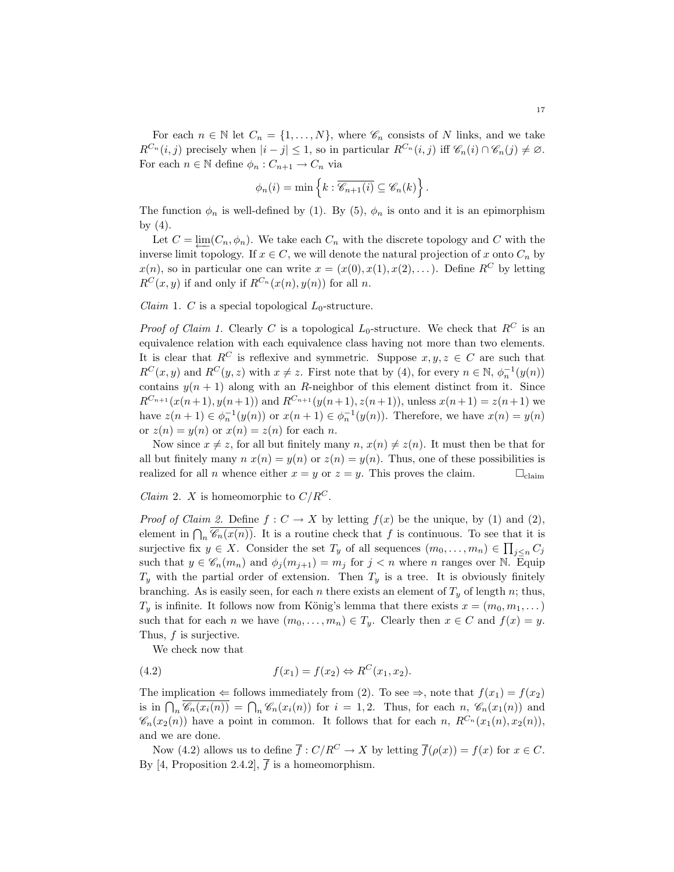For each  $n \in \mathbb{N}$  let  $C_n = \{1, ..., N\}$ , where  $\mathscr{C}_n$  consists of N links, and we take  $R^{C_n}(i, j)$  precisely when  $|i - j| \leq 1$ , so in particular  $R^{C_n}(i, j)$  iff  $\mathscr{C}_n(i) \cap \mathscr{C}_n(j) \neq \emptyset$ . For each  $n \in \mathbb{N}$  define  $\phi_n : C_{n+1} \to C_n$  via

$$
\phi_n(i) = \min \left\{ k : \overline{\mathscr{C}_{n+1}(i)} \subseteq \mathscr{C}_n(k) \right\}.
$$

The function  $\phi_n$  is well-defined by (1). By (5),  $\phi_n$  is onto and it is an epimorphism by  $(4)$ .

Let  $C = \lim_{n \to \infty} (C_n, \phi_n)$ . We take each  $C_n$  with the discrete topology and C with the inverse limit topology. If  $x \in C$ , we will denote the natural projection of x onto  $C_n$  by  $x(n)$ , so in particular one can write  $x = (x(0), x(1), x(2), \dots)$ . Define R<sup>C</sup> by letting  $R^{C}(x, y)$  if and only if  $R^{C_n}(x(n), y(n))$  for all n.

*Claim* 1. *C* is a special topological  $L_0$ -structure.

*Proof of Claim 1.* Clearly C is a topological  $L_0$ -structure. We check that  $R^C$  is an equivalence relation with each equivalence class having not more than two elements. It is clear that  $R^C$  is reflexive and symmetric. Suppose  $x, y, z \in C$  are such that  $R^{C}(x, y)$  and  $R^{C}(y, z)$  with  $x \neq z$ . First note that by (4), for every  $n \in \mathbb{N}$ ,  $\phi_{n}^{-1}(y(n))$ contains  $y(n + 1)$  along with an R-neighbor of this element distinct from it. Since  $R^{C_{n+1}}(x(n+1), y(n+1))$  and  $R^{C_{n+1}}(y(n+1), z(n+1))$ , unless  $x(n+1) = z(n+1)$  we have  $z(n + 1) \in \phi_n^{-1}(y(n))$  or  $x(n + 1) \in \phi_n^{-1}(y(n))$ . Therefore, we have  $x(n) = y(n)$ or  $z(n) = y(n)$  or  $x(n) = z(n)$  for each n.

Now since  $x \neq z$ , for all but finitely many  $n, x(n) \neq z(n)$ . It must then be that for all but finitely many  $n x(n) = y(n)$  or  $z(n) = y(n)$ . Thus, one of these possibilities is realized for all *n* whence either  $x = y$  or  $z = y$ . This proves the claim.  $\square$ <sub>claim</sub>

*Claim 2. X* is homeomorphic to  $C/R^C$ .

*Proof of Claim 2.* Define  $f: C \to X$  by letting  $f(x)$  be the unique, by (1) and (2), element in  $\bigcap_n \overline{\mathscr{C}_n(x(n))}$ . It is a routine check that f is continuous. To see that it is surjective fix  $y \in X$ . Consider the set  $T_y$  of all sequences  $(m_0, \ldots, m_n) \in \prod_{j \leq n} C_j$ such that  $y \in \mathscr{C}_n(m_n)$  and  $\phi_j(m_{j+1}) = m_j$  for  $j < n$  where n ranges over N. Equip  $T_y$  with the partial order of extension. Then  $T_y$  is a tree. It is obviously finitely branching. As is easily seen, for each n there exists an element of  $T_y$  of length n; thus,  $T_y$  is infinite. It follows now from König's lemma that there exists  $x = (m_0, m_1, \dots)$ such that for each n we have  $(m_0, \ldots, m_n) \in T_y$ . Clearly then  $x \in C$  and  $f(x) = y$ . Thus,  $f$  is surjective.

We check now that

(4.2) 
$$
f(x_1) = f(x_2) \Leftrightarrow R^C(x_1, x_2).
$$

The implication  $\Leftarrow$  follows immediately from (2). To see  $\Rightarrow$ , note that  $f(x_1) = f(x_2)$ is in  $\bigcap_n \overline{\mathscr{C}_n(x_i(n))} = \bigcap_n \mathscr{C}_n(x_i(n))$  for  $i = 1, 2$ . Thus, for each  $n$ ,  $\mathscr{C}_n(x_1(n))$  and  $\mathscr{C}_n(x_2(n))$  have a point in common. It follows that for each n,  $R^{C_n}(x_1(n), x_2(n))$ , and we are done.

Now (4.2) allows us to define  $\overline{f}: C/R^C \to X$  by letting  $\overline{f}(\rho(x)) = f(x)$  for  $x \in C$ . By [4, Proposition 2.4.2],  $\overline{f}$  is a homeomorphism.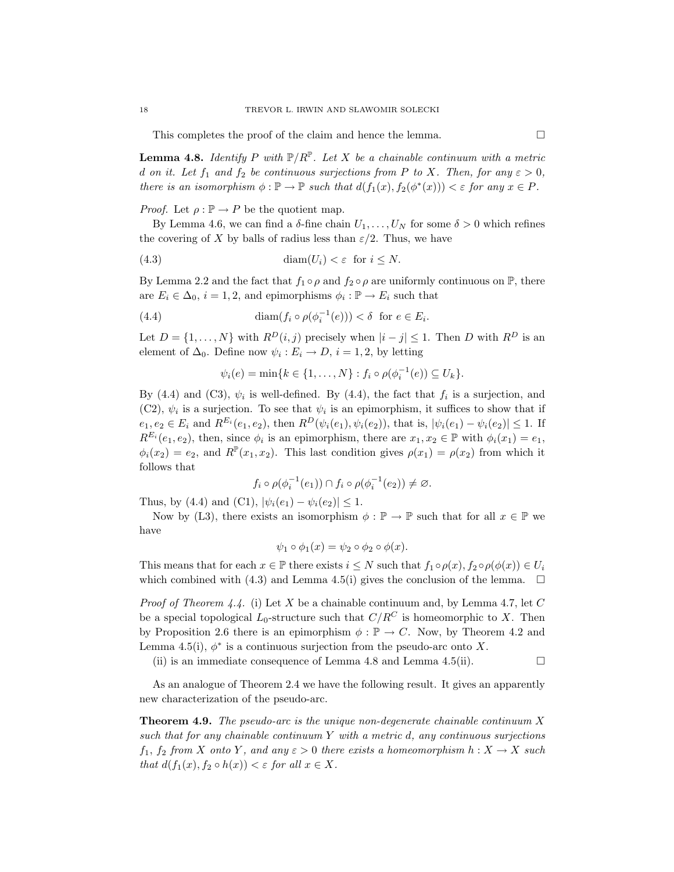This completes the proof of the claim and hence the lemma.  $\Box$ 

**Lemma 4.8.** Identify P with  $\mathbb{P}/R^{\mathbb{P}}$ . Let X be a chainable continuum with a metric d on it. Let  $f_1$  and  $f_2$  be continuous surjections from P to X. Then, for any  $\varepsilon > 0$ , there is an isomorphism  $\phi : \mathbb{P} \to \mathbb{P}$  such that  $d(f_1(x), f_2(\phi^*(x))) < \varepsilon$  for any  $x \in P$ .

*Proof.* Let  $\rho : \mathbb{P} \to P$  be the quotient map.

By Lemma 4.6, we can find a  $\delta$ -fine chain  $U_1, \ldots, U_N$  for some  $\delta > 0$  which refines the covering of X by balls of radius less than  $\varepsilon/2$ . Thus, we have

(4.3) 
$$
\dim(U_i) < \varepsilon \quad \text{for } i \le N.
$$

By Lemma 2.2 and the fact that  $f_1 \circ \rho$  and  $f_2 \circ \rho$  are uniformly continuous on  $\mathbb{P}$ , there are  $E_i \in \Delta_0$ ,  $i = 1, 2$ , and epimorphisms  $\phi_i : \mathbb{P} \to E_i$  such that

(4.4) 
$$
\operatorname{diam}(f_i \circ \rho(\phi_i^{-1}(e))) < \delta \text{ for } e \in E_i.
$$

Let  $D = \{1, ..., N\}$  with  $R^D(i, j)$  precisely when  $|i - j| \leq 1$ . Then D with  $R^D$  is an element of  $\Delta_0$ . Define now  $\psi_i : E_i \to D$ ,  $i = 1, 2$ , by letting

$$
\psi_i(e) = \min\{k \in \{1, ..., N\} : f_i \circ \rho(\phi_i^{-1}(e)) \subseteq U_k\}.
$$

By (4.4) and (C3),  $\psi_i$  is well-defined. By (4.4), the fact that  $f_i$  is a surjection, and (C2),  $\psi_i$  is a surjection. To see that  $\psi_i$  is an epimorphism, it suffices to show that if  $e_1, e_2 \in E_i$  and  $R^{E_i}(e_1, e_2)$ , then  $R^D(\psi_i(e_1), \psi_i(e_2))$ , that is,  $|\psi_i(e_1) - \psi_i(e_2)| \leq 1$ . If  $R^{E_i}(e_1, e_2)$ , then, since  $\phi_i$  is an epimorphism, there are  $x_1, x_2 \in \mathbb{P}$  with  $\phi_i(x_1) = e_1$ ,  $\phi_i(x_2) = e_2$ , and  $R^{\mathbb{P}}(x_1, x_2)$ . This last condition gives  $\rho(x_1) = \rho(x_2)$  from which it follows that

$$
f_i \circ \rho(\phi_i^{-1}(e_1)) \cap f_i \circ \rho(\phi_i^{-1}(e_2)) \neq \varnothing.
$$

Thus, by (4.4) and (C1),  $|\psi_i(e_1) - \psi_i(e_2)| \leq 1$ .

Now by (L3), there exists an isomorphism  $\phi : \mathbb{P} \to \mathbb{P}$  such that for all  $x \in \mathbb{P}$  we have

$$
\psi_1 \circ \phi_1(x) = \psi_2 \circ \phi_2 \circ \phi(x).
$$

This means that for each  $x \in \mathbb{P}$  there exists  $i \leq N$  such that  $f_1 \circ \rho(x)$ ,  $f_2 \circ \rho(\phi(x)) \in U_i$ which combined with (4.3) and Lemma 4.5(i) gives the conclusion of the lemma.  $\Box$ 

*Proof of Theorem 4.4.* (i) Let X be a chainable continuum and, by Lemma 4.7, let C be a special topological  $L_0$ -structure such that  $C/R^C$  is homeomorphic to X. Then by Proposition 2.6 there is an epimorphism  $\phi : \mathbb{P} \to C$ . Now, by Theorem 4.2 and Lemma 4.5(i),  $\phi^*$  is a continuous surjection from the pseudo-arc onto X.

(ii) is an immediate consequence of Lemma 4.8 and Lemma 4.5(ii).  $\Box$ 

As an analogue of Theorem 2.4 we have the following result. It gives an apparently new characterization of the pseudo-arc.

**Theorem 4.9.** The pseudo-arc is the unique non-degenerate chainable continuum  $X$ such that for any chainable continuum  $Y$  with a metric  $d$ , any continuous surjections  $f_1, f_2$  from X onto Y, and any  $\varepsilon > 0$  there exists a homeomorphism  $h: X \to X$  such that  $d(f_1(x), f_2 \circ h(x)) < \varepsilon$  for all  $x \in X$ .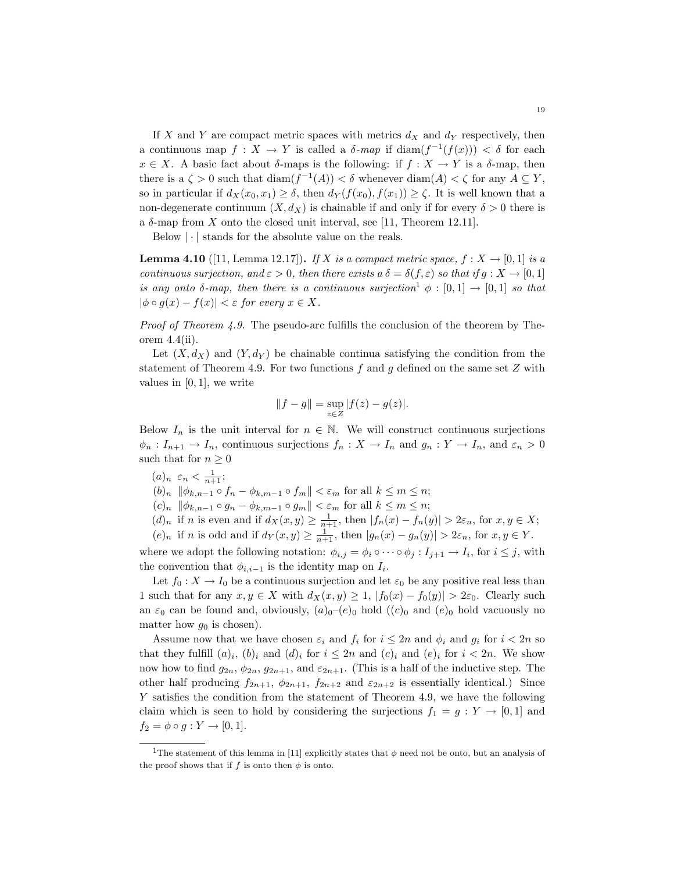If X and Y are compact metric spaces with metrics  $d_X$  and  $d_Y$  respectively, then a continuous map  $f: X \to Y$  is called a  $\delta$ -map if  $\text{diam}(f^{-1}(f(x))) < \delta$  for each  $x \in X$ . A basic fact about  $\delta$ -maps is the following: if  $f : X \to Y$  is a  $\delta$ -map, then there is a  $\zeta > 0$  such that  $\text{diam}(f^{-1}(A)) < \delta$  whenever  $\text{diam}(A) < \zeta$  for any  $A \subseteq Y$ , so in particular if  $d_X(x_0, x_1) \geq \delta$ , then  $d_Y(f(x_0), f(x_1)) \geq \zeta$ . It is well known that a non-degenerate continuum  $(X, d_X)$  is chainable if and only if for every  $\delta > 0$  there is a  $\delta$ -map from X onto the closed unit interval, see [11, Theorem 12.11].

Below  $|\cdot|$  stands for the absolute value on the reals.

**Lemma 4.10** ([11, Lemma 12.17]). If X is a compact metric space,  $f: X \to [0,1]$  is a continuous surjection, and  $\varepsilon > 0$ , then there exists a  $\delta = \delta(f, \varepsilon)$  so that if  $g: X \to [0, 1]$ is any onto  $\delta$ -map, then there is a continuous surjection<sup>1</sup>  $\phi : [0,1] \rightarrow [0,1]$  so that  $|\phi \circ g(x) - f(x)| < \varepsilon$  for every  $x \in X$ .

Proof of Theorem 4.9. The pseudo-arc fulfills the conclusion of the theorem by Theorem  $4.4$ (ii).

Let  $(X, d_X)$  and  $(Y, d_Y)$  be chainable continua satisfying the condition from the statement of Theorem 4.9. For two functions f and g defined on the same set  $Z$  with values in  $[0, 1]$ , we write

$$
||f - g|| = \sup_{z \in Z} |f(z) - g(z)|.
$$

Below  $I_n$  is the unit interval for  $n \in \mathbb{N}$ . We will construct continuous surjections  $\phi_n: I_{n+1} \to I_n$ , continuous surjections  $f_n: X \to I_n$  and  $g_n: Y \to I_n$ , and  $\varepsilon_n > 0$ such that for  $n \geq 0$ 

 $(a)_n \varepsilon_n < \frac{1}{n+1};$ 

 $(b)_n \|\phi_{k,n-1} \circ f_n - \phi_{k,m-1} \circ f_m\| < \varepsilon_m$  for all  $k \leq m \leq n$ ;

- $(c)<sub>n</sub>$   $\|\phi_{k,n-1} \circ g_n \phi_{k,m-1} \circ g_m\| < \varepsilon_m$  for all  $k \le m \le n$ ;
- $(d)_n$  if n is even and if  $d_X(x, y) \geq \frac{1}{n+1}$ , then  $|f_n(x) f_n(y)| > 2\varepsilon_n$ , for  $x, y \in X$ ;
- $(e)_n$  if n is odd and if  $d_Y(x, y) \geq \frac{1}{n+1}$ , then  $|g_n(x) g_n(y)| > 2\varepsilon_n$ , for  $x, y \in Y$ .

where we adopt the following notation:  $\phi_{i,j} = \phi_i \circ \cdots \circ \phi_j : I_{j+1} \to I_i$ , for  $i \leq j$ , with the convention that  $\phi_{i,i-1}$  is the identity map on  $I_i$ .

Let  $f_0 : X \to I_0$  be a continuous surjection and let  $\varepsilon_0$  be any positive real less than 1 such that for any  $x, y \in X$  with  $d_X(x, y) \geq 1$ ,  $|f_0(x) - f_0(y)| > 2\varepsilon_0$ . Clearly such an  $\varepsilon_0$  can be found and, obviously,  $(a)_0$ – $(e)_0$  hold  $((c)_0$  and  $(e)_0$  hold vacuously no matter how  $g_0$  is chosen).

Assume now that we have chosen  $\varepsilon_i$  and  $f_i$  for  $i \leq 2n$  and  $\phi_i$  and  $g_i$  for  $i < 2n$  so that they fulfill  $(a)_i$ ,  $(b)_i$  and  $(d)_i$  for  $i \leq 2n$  and  $(c)_i$  and  $(e)_i$  for  $i < 2n$ . We show now how to find  $g_{2n}$ ,  $\phi_{2n}$ ,  $g_{2n+1}$ , and  $\varepsilon_{2n+1}$ . (This is a half of the inductive step. The other half producing  $f_{2n+1}$ ,  $\phi_{2n+1}$ ,  $f_{2n+2}$  and  $\varepsilon_{2n+2}$  is essentially identical.) Since Y satisfies the condition from the statement of Theorem 4.9, we have the following claim which is seen to hold by considering the surjections  $f_1 = g : Y \to [0,1]$  and  $f_2 = \phi \circ g : Y \to [0,1].$ 

<sup>&</sup>lt;sup>1</sup>The statement of this lemma in [11] explicitly states that  $\phi$  need not be onto, but an analysis of the proof shows that if f is onto then  $\phi$  is onto.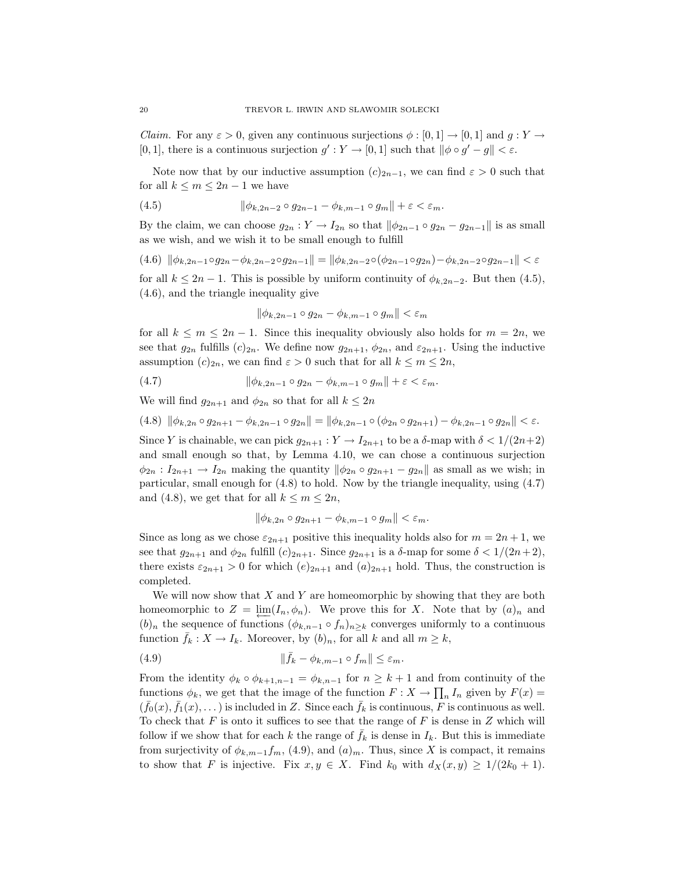*Claim.* For any  $\varepsilon > 0$ , given any continuous surjections  $\phi : [0,1] \to [0,1]$  and  $g: Y \to$ [0, 1], there is a continuous surjection  $g': Y \to [0, 1]$  such that  $\|\phi \circ g' - g\| < \varepsilon$ .

Note now that by our inductive assumption  $(c)_{2n-1}$ , we can find  $\varepsilon > 0$  such that for all  $k \leq m \leq 2n-1$  we have

$$
(4.5) \qquad \qquad \|\phi_{k,2n-2}\circ g_{2n-1} - \phi_{k,m-1}\circ g_m\| + \varepsilon < \varepsilon_m.
$$

By the claim, we can choose  $g_{2n}: Y \to I_{2n}$  so that  $\|\phi_{2n-1} \circ g_{2n} - g_{2n-1}\|$  is as small as we wish, and we wish it to be small enough to fulfill

$$
(4.6) \|\phi_{k,2n-1}\circ g_{2n} - \phi_{k,2n-2}\circ g_{2n-1}\| = \|\phi_{k,2n-2}\circ (\phi_{2n-1}\circ g_{2n}) - \phi_{k,2n-2}\circ g_{2n-1}\| < \varepsilon
$$

for all  $k \leq 2n-1$ . This is possible by uniform continuity of  $\phi_{k,2n-2}$ . But then (4.5), (4.6), and the triangle inequality give

$$
\|\phi_{k,2n-1}\circ g_{2n}-\phi_{k,m-1}\circ g_m\|<\varepsilon_m
$$

for all  $k \leq m \leq 2n-1$ . Since this inequality obviously also holds for  $m = 2n$ , we see that  $g_{2n}$  fulfills  $(c)_{2n}$ . We define now  $g_{2n+1}, \phi_{2n}$ , and  $\varepsilon_{2n+1}$ . Using the inductive assumption  $(c)_{2n}$ , we can find  $\varepsilon > 0$  such that for all  $k \leq m \leq 2n$ ,

(4.7) 
$$
\|\phi_{k,2n-1}\circ g_{2n}-\phi_{k,m-1}\circ g_m\|+\varepsilon<\varepsilon_m.
$$

We will find  $g_{2n+1}$  and  $\phi_{2n}$  so that for all  $k \leq 2n$ 

$$
(4.8) \|\phi_{k,2n} \circ g_{2n+1} - \phi_{k,2n-1} \circ g_{2n}\| = \|\phi_{k,2n-1} \circ (\phi_{2n} \circ g_{2n+1}) - \phi_{k,2n-1} \circ g_{2n}\| < \varepsilon.
$$

Since Y is chainable, we can pick  $g_{2n+1}: Y \to I_{2n+1}$  to be a  $\delta$ -map with  $\delta < 1/(2n+2)$ and small enough so that, by Lemma 4.10, we can chose a continuous surjection  $\phi_{2n}: I_{2n+1} \to I_{2n}$  making the quantity  $\|\phi_{2n} \circ g_{2n+1} - g_{2n}\|$  as small as we wish; in particular, small enough for (4.8) to hold. Now by the triangle inequality, using (4.7) and (4.8), we get that for all  $k \leq m \leq 2n$ ,

$$
\|\phi_{k,2n}\circ g_{2n+1}-\phi_{k,m-1}\circ g_m\|<\varepsilon_m.
$$

Since as long as we chose  $\varepsilon_{2n+1}$  positive this inequality holds also for  $m = 2n + 1$ , we see that  $g_{2n+1}$  and  $\phi_{2n}$  fulfill  $(c)_{2n+1}$ . Since  $g_{2n+1}$  is a  $\delta$ -map for some  $\delta < 1/(2n+2)$ , there exists  $\varepsilon_{2n+1} > 0$  for which  $(e)_{2n+1}$  and  $(a)_{2n+1}$  hold. Thus, the construction is completed.

We will now show that  $X$  and  $Y$  are homeomorphic by showing that they are both homeomorphic to  $Z = \lim_{n \to \infty} (I_n, \phi_n)$ . We prove this for X. Note that by  $(a)_n$  and  $(b)_n$  the sequence of functions  $(\phi_{k,n-1} \circ f_n)_{n\geq k}$  converges uniformly to a continuous function  $f_k : X \to I_k$ . Moreover, by  $(b)_n$ , for all  $k$  and all  $m \geq k$ ,

(4.9) 
$$
\|\bar{f}_k - \phi_{k,m-1} \circ f_m\| \leq \varepsilon_m.
$$

From the identity  $\phi_k \circ \phi_{k+1,n-1} = \phi_{k,n-1}$  for  $n \geq k+1$  and from continuity of the functions  $\phi_k$ , we get that the image of the function  $F: X \to \prod_n I_n$  given by  $F(x) =$  $(\bar{f}_0(x), \bar{f}_1(x), \dots)$  is included in Z. Since each  $\bar{f}_k$  is continuous, F is continuous as well. To check that  $F$  is onto it suffices to see that the range of  $F$  is dense in  $Z$  which will follow if we show that for each k the range of  $\bar{f}_k$  is dense in  $I_k$ . But this is immediate from surjectivity of  $\phi_{k,m-1}f_m$ , (4.9), and  $(a)_m$ . Thus, since X is compact, it remains to show that F is injective. Fix  $x, y \in X$ . Find  $k_0$  with  $d_X(x, y) \geq 1/(2k_0 + 1)$ .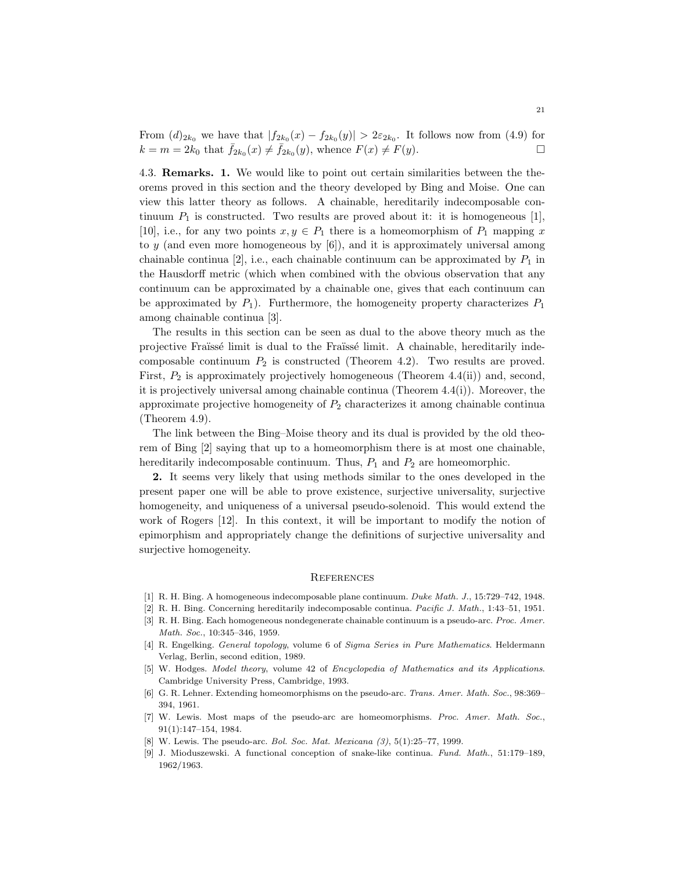From  $(d)_{2k_0}$  we have that  $|f_{2k_0}(x) - f_{2k_0}(y)| > 2\varepsilon_{2k_0}$ . It follows now from (4.9) for  $k = m = 2k_0 \text{ that } \bar{f}_{2k_0}(x) \neq \bar{f}_{2k_0}(y), \text{ whence } F(x) \neq F(y).$ 

4.3. Remarks. 1. We would like to point out certain similarities between the theorems proved in this section and the theory developed by Bing and Moise. One can view this latter theory as follows. A chainable, hereditarily indecomposable continuum  $P_1$  is constructed. Two results are proved about it: it is homogeneous [1], [10], i.e., for any two points  $x, y \in P_1$  there is a homeomorphism of  $P_1$  mapping x to  $y$  (and even more homogeneous by  $[6]$ ), and it is approximately universal among chainable continua [2], i.e., each chainable continuum can be approximated by  $P_1$  in the Hausdorff metric (which when combined with the obvious observation that any continuum can be approximated by a chainable one, gives that each continuum can be approximated by  $P_1$ ). Furthermore, the homogeneity property characterizes  $P_1$ among chainable continua [3].

The results in this section can be seen as dual to the above theory much as the projective Fraïssé limit is dual to the Fraïssé limit. A chainable, hereditarily indecomposable continuum  $P_2$  is constructed (Theorem 4.2). Two results are proved. First,  $P_2$  is approximately projectively homogeneous (Theorem 4.4(ii)) and, second, it is projectively universal among chainable continua (Theorem 4.4(i)). Moreover, the approximate projective homogeneity of  $P_2$  characterizes it among chainable continua (Theorem 4.9).

The link between the Bing–Moise theory and its dual is provided by the old theorem of Bing [2] saying that up to a homeomorphism there is at most one chainable, hereditarily indecomposable continuum. Thus,  $P_1$  and  $P_2$  are homeomorphic.

2. It seems very likely that using methods similar to the ones developed in the present paper one will be able to prove existence, surjective universality, surjective homogeneity, and uniqueness of a universal pseudo-solenoid. This would extend the work of Rogers [12]. In this context, it will be important to modify the notion of epimorphism and appropriately change the definitions of surjective universality and surjective homogeneity.

#### **REFERENCES**

- [1] R. H. Bing. A homogeneous indecomposable plane continuum. Duke Math. J., 15:729–742, 1948.
- [2] R. H. Bing. Concerning hereditarily indecomposable continua. Pacific J. Math., 1:43–51, 1951.
- [3] R. H. Bing. Each homogeneous nondegenerate chainable continuum is a pseudo-arc. Proc. Amer. Math. Soc., 10:345–346, 1959.
- [4] R. Engelking. General topology, volume 6 of Sigma Series in Pure Mathematics. Heldermann Verlag, Berlin, second edition, 1989.
- [5] W. Hodges. Model theory, volume 42 of Encyclopedia of Mathematics and its Applications. Cambridge University Press, Cambridge, 1993.
- [6] G. R. Lehner. Extending homeomorphisms on the pseudo-arc. Trans. Amer. Math. Soc., 98:369– 394, 1961.
- [7] W. Lewis. Most maps of the pseudo-arc are homeomorphisms. Proc. Amer. Math. Soc., 91(1):147–154, 1984.
- [8] W. Lewis. The pseudo-arc. *Bol. Soc. Mat. Mexicana* (3), 5(1):25–77, 1999.
- [9] J. Mioduszewski. A functional conception of snake-like continua. Fund. Math., 51:179–189, 1962/1963.